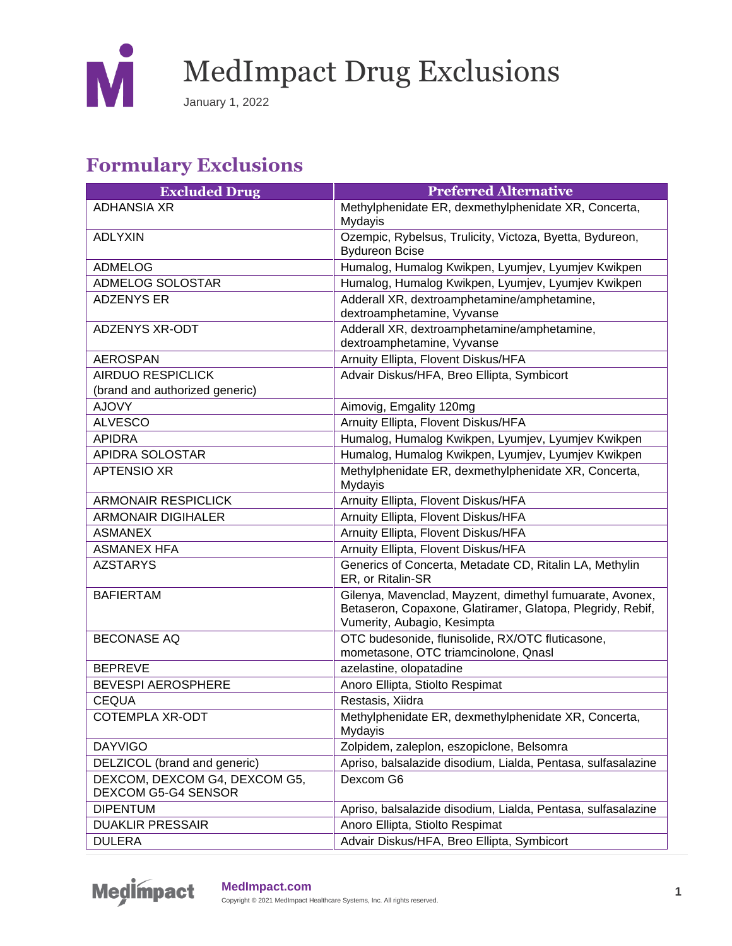

January 1, 2022

#### **Formulary Exclusions**

| <b>Excluded Drug</b>                                       | <b>Preferred Alternative</b>                                                                                                                          |
|------------------------------------------------------------|-------------------------------------------------------------------------------------------------------------------------------------------------------|
| <b>ADHANSIA XR</b>                                         | Methylphenidate ER, dexmethylphenidate XR, Concerta,<br><b>Mydayis</b>                                                                                |
| <b>ADLYXIN</b>                                             | Ozempic, Rybelsus, Trulicity, Victoza, Byetta, Bydureon,<br><b>Bydureon Bcise</b>                                                                     |
| <b>ADMELOG</b>                                             | Humalog, Humalog Kwikpen, Lyumjev, Lyumjev Kwikpen                                                                                                    |
| ADMELOG SOLOSTAR                                           | Humalog, Humalog Kwikpen, Lyumjev, Lyumjev Kwikpen                                                                                                    |
| <b>ADZENYS ER</b>                                          | Adderall XR, dextroamphetamine/amphetamine,<br>dextroamphetamine, Vyvanse                                                                             |
| <b>ADZENYS XR-ODT</b>                                      | Adderall XR, dextroamphetamine/amphetamine,<br>dextroamphetamine, Vyvanse                                                                             |
| <b>AEROSPAN</b>                                            | Arnuity Ellipta, Flovent Diskus/HFA                                                                                                                   |
| <b>AIRDUO RESPICLICK</b><br>(brand and authorized generic) | Advair Diskus/HFA, Breo Ellipta, Symbicort                                                                                                            |
| <b>AJOVY</b>                                               | Aimovig, Emgality 120mg                                                                                                                               |
| <b>ALVESCO</b>                                             | Arnuity Ellipta, Flovent Diskus/HFA                                                                                                                   |
| <b>APIDRA</b>                                              | Humalog, Humalog Kwikpen, Lyumjev, Lyumjev Kwikpen                                                                                                    |
| APIDRA SOLOSTAR                                            | Humalog, Humalog Kwikpen, Lyumjev, Lyumjev Kwikpen                                                                                                    |
| <b>APTENSIO XR</b>                                         | Methylphenidate ER, dexmethylphenidate XR, Concerta,<br>Mydayis                                                                                       |
| <b>ARMONAIR RESPICLICK</b>                                 | Arnuity Ellipta, Flovent Diskus/HFA                                                                                                                   |
| <b>ARMONAIR DIGIHALER</b>                                  | Arnuity Ellipta, Flovent Diskus/HFA                                                                                                                   |
| <b>ASMANEX</b>                                             | Arnuity Ellipta, Flovent Diskus/HFA                                                                                                                   |
| <b>ASMANEX HFA</b>                                         | Arnuity Ellipta, Flovent Diskus/HFA                                                                                                                   |
| <b>AZSTARYS</b>                                            | Generics of Concerta, Metadate CD, Ritalin LA, Methylin<br>ER, or Ritalin-SR                                                                          |
| <b>BAFIERTAM</b>                                           | Gilenya, Mavenclad, Mayzent, dimethyl fumuarate, Avonex,<br>Betaseron, Copaxone, Glatiramer, Glatopa, Plegridy, Rebif,<br>Vumerity, Aubagio, Kesimpta |
| <b>BECONASE AQ</b>                                         | OTC budesonide, flunisolide, RX/OTC fluticasone,<br>mometasone, OTC triamcinolone, Qnasl                                                              |
| <b>BEPREVE</b>                                             | azelastine, olopatadine                                                                                                                               |
| BEVESPI AEROSPHERE                                         | Anoro Ellipta, Stiolto Respimat                                                                                                                       |
| <b>CEQUA</b>                                               | Restasis, Xiidra                                                                                                                                      |
| <b>COTEMPLA XR-ODT</b>                                     | Methylphenidate ER, dexmethylphenidate XR, Concerta,<br>Mydayis                                                                                       |
| <b>DAYVIGO</b>                                             | Zolpidem, zaleplon, eszopiclone, Belsomra                                                                                                             |
| DELZICOL (brand and generic)                               | Apriso, balsalazide disodium, Lialda, Pentasa, sulfasalazine                                                                                          |
| DEXCOM, DEXCOM G4, DEXCOM G5,<br>DEXCOM G5-G4 SENSOR       | Dexcom G6                                                                                                                                             |
| <b>DIPENTUM</b>                                            | Apriso, balsalazide disodium, Lialda, Pentasa, sulfasalazine                                                                                          |
| <b>DUAKLIR PRESSAIR</b>                                    | Anoro Ellipta, Stiolto Respimat                                                                                                                       |
| <b>DULERA</b>                                              | Advair Diskus/HFA, Breo Ellipta, Symbicort                                                                                                            |

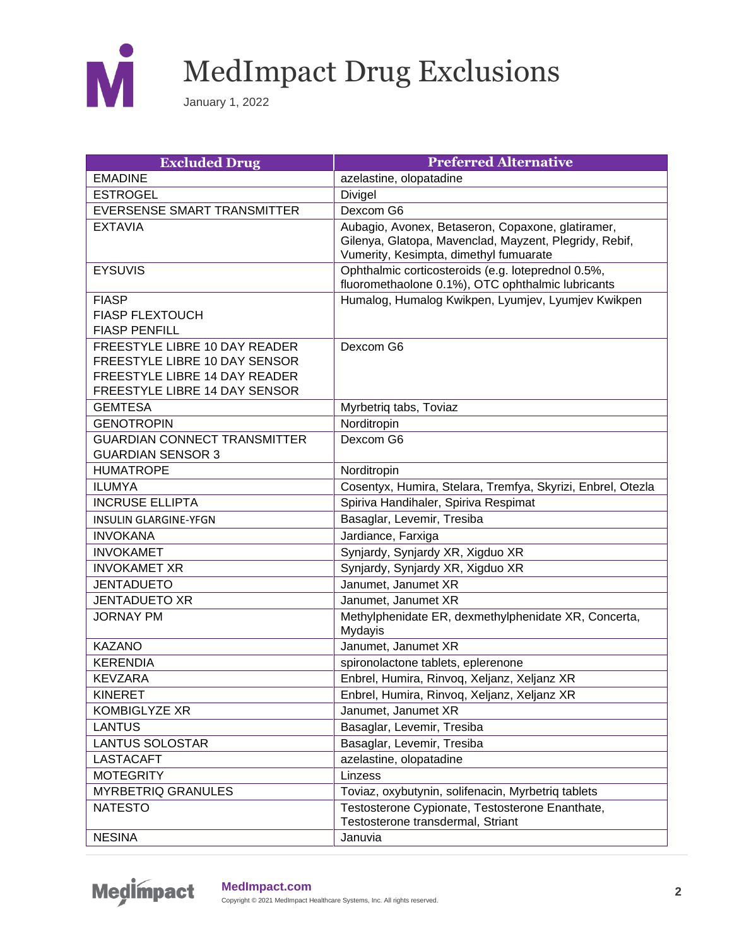

| <b>Excluded Drug</b>                                                                                                             | <b>Preferred Alternative</b>                                                                                                                          |
|----------------------------------------------------------------------------------------------------------------------------------|-------------------------------------------------------------------------------------------------------------------------------------------------------|
| <b>EMADINE</b>                                                                                                                   | azelastine, olopatadine                                                                                                                               |
| <b>ESTROGEL</b>                                                                                                                  | Divigel                                                                                                                                               |
| EVERSENSE SMART TRANSMITTER                                                                                                      | Dexcom G6                                                                                                                                             |
| <b>EXTAVIA</b>                                                                                                                   | Aubagio, Avonex, Betaseron, Copaxone, glatiramer,<br>Gilenya, Glatopa, Mavenclad, Mayzent, Plegridy, Rebif,<br>Vumerity, Kesimpta, dimethyl fumuarate |
| <b>EYSUVIS</b>                                                                                                                   | Ophthalmic corticosteroids (e.g. loteprednol 0.5%,<br>fluoromethaolone 0.1%), OTC ophthalmic lubricants                                               |
| <b>FIASP</b><br><b>FIASP FLEXTOUCH</b><br><b>FIASP PENFILL</b>                                                                   | Humalog, Humalog Kwikpen, Lyumjev, Lyumjev Kwikpen                                                                                                    |
| FREESTYLE LIBRE 10 DAY READER<br>FREESTYLE LIBRE 10 DAY SENSOR<br>FREESTYLE LIBRE 14 DAY READER<br>FREESTYLE LIBRE 14 DAY SENSOR | Dexcom G6                                                                                                                                             |
| <b>GEMTESA</b>                                                                                                                   | Myrbetriq tabs, Toviaz                                                                                                                                |
| <b>GENOTROPIN</b>                                                                                                                | Norditropin                                                                                                                                           |
| <b>GUARDIAN CONNECT TRANSMITTER</b><br><b>GUARDIAN SENSOR 3</b>                                                                  | Dexcom G6                                                                                                                                             |
| <b>HUMATROPE</b>                                                                                                                 | Norditropin                                                                                                                                           |
| <b>ILUMYA</b>                                                                                                                    | Cosentyx, Humira, Stelara, Tremfya, Skyrizi, Enbrel, Otezla                                                                                           |
| <b>INCRUSE ELLIPTA</b>                                                                                                           | Spiriva Handihaler, Spiriva Respimat                                                                                                                  |
| <b>INSULIN GLARGINE-YFGN</b>                                                                                                     | Basaglar, Levemir, Tresiba                                                                                                                            |
| <b>INVOKANA</b>                                                                                                                  | Jardiance, Farxiga                                                                                                                                    |
| <b>INVOKAMET</b>                                                                                                                 | Synjardy, Synjardy XR, Xigduo XR                                                                                                                      |
| <b>INVOKAMET XR</b>                                                                                                              | Synjardy, Synjardy XR, Xigduo XR                                                                                                                      |
| <b>JENTADUETO</b>                                                                                                                | Janumet, Janumet XR                                                                                                                                   |
| <b>JENTADUETO XR</b>                                                                                                             | Janumet, Janumet XR                                                                                                                                   |
| <b>JORNAY PM</b>                                                                                                                 | Methylphenidate ER, dexmethylphenidate XR, Concerta,<br>Mydayis                                                                                       |
| <b>KAZANO</b>                                                                                                                    | Janumet, Janumet XR                                                                                                                                   |
| <b>KERENDIA</b>                                                                                                                  | spironolactone tablets, eplerenone                                                                                                                    |
| <b>KEVZARA</b>                                                                                                                   | Enbrel, Humira, Rinvog, Xeljanz, Xeljanz XR                                                                                                           |
| <b>KINERET</b>                                                                                                                   | Enbrel, Humira, Rinvoq, Xeljanz, Xeljanz XR                                                                                                           |
| <b>KOMBIGLYZE XR</b>                                                                                                             | Janumet, Janumet XR                                                                                                                                   |
| <b>LANTUS</b>                                                                                                                    | Basaglar, Levemir, Tresiba                                                                                                                            |
| <b>LANTUS SOLOSTAR</b>                                                                                                           | Basaglar, Levemir, Tresiba                                                                                                                            |
| <b>LASTACAFT</b>                                                                                                                 | azelastine, olopatadine                                                                                                                               |
| <b>MOTEGRITY</b>                                                                                                                 | Linzess                                                                                                                                               |
| <b>MYRBETRIQ GRANULES</b>                                                                                                        | Toviaz, oxybutynin, solifenacin, Myrbetriq tablets                                                                                                    |
| <b>NATESTO</b>                                                                                                                   | Testosterone Cypionate, Testosterone Enanthate,<br>Testosterone transdermal, Striant                                                                  |
| <b>NESINA</b>                                                                                                                    | Januvia                                                                                                                                               |

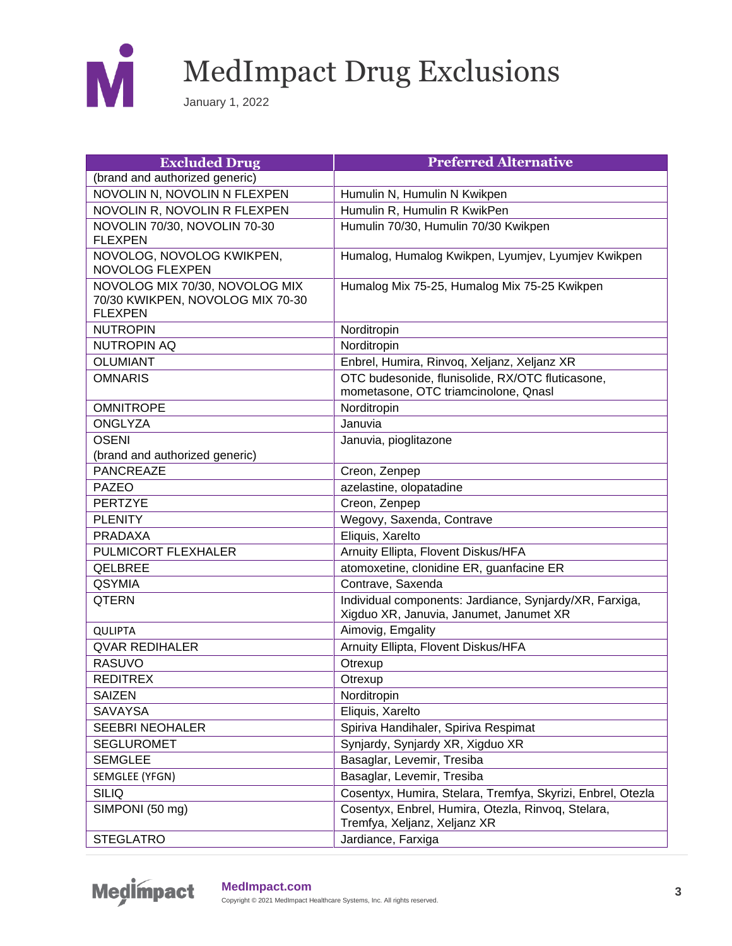

| <b>Excluded Drug</b>                                                                 | <b>Preferred Alternative</b>                                                                       |
|--------------------------------------------------------------------------------------|----------------------------------------------------------------------------------------------------|
| (brand and authorized generic)                                                       |                                                                                                    |
| NOVOLIN N, NOVOLIN N FLEXPEN                                                         | Humulin N, Humulin N Kwikpen                                                                       |
| NOVOLIN R, NOVOLIN R FLEXPEN                                                         | Humulin R, Humulin R KwikPen                                                                       |
| NOVOLIN 70/30, NOVOLIN 70-30<br><b>FLEXPEN</b>                                       | Humulin 70/30, Humulin 70/30 Kwikpen                                                               |
| NOVOLOG, NOVOLOG KWIKPEN,<br><b>NOVOLOG FLEXPEN</b>                                  | Humalog, Humalog Kwikpen, Lyumjev, Lyumjev Kwikpen                                                 |
| NOVOLOG MIX 70/30, NOVOLOG MIX<br>70/30 KWIKPEN, NOVOLOG MIX 70-30<br><b>FLEXPEN</b> | Humalog Mix 75-25, Humalog Mix 75-25 Kwikpen                                                       |
| <b>NUTROPIN</b>                                                                      | Norditropin                                                                                        |
| <b>NUTROPIN AQ</b>                                                                   | Norditropin                                                                                        |
| <b>OLUMIANT</b>                                                                      | Enbrel, Humira, Rinvoq, Xeljanz, Xeljanz XR                                                        |
| <b>OMNARIS</b>                                                                       | OTC budesonide, flunisolide, RX/OTC fluticasone,                                                   |
|                                                                                      | mometasone, OTC triamcinolone, Qnasl                                                               |
| <b>OMNITROPE</b>                                                                     | Norditropin                                                                                        |
| <b>ONGLYZA</b>                                                                       | Januvia                                                                                            |
| <b>OSENI</b>                                                                         | Januvia, pioglitazone                                                                              |
| (brand and authorized generic)                                                       |                                                                                                    |
| <b>PANCREAZE</b>                                                                     | Creon, Zenpep                                                                                      |
| <b>PAZEO</b>                                                                         | azelastine, olopatadine                                                                            |
| <b>PERTZYE</b>                                                                       | Creon, Zenpep                                                                                      |
| <b>PLENITY</b>                                                                       | Wegovy, Saxenda, Contrave                                                                          |
| <b>PRADAXA</b>                                                                       | Eliquis, Xarelto                                                                                   |
| PULMICORT FLEXHALER                                                                  | Arnuity Ellipta, Flovent Diskus/HFA                                                                |
| <b>QELBREE</b>                                                                       | atomoxetine, clonidine ER, guanfacine ER                                                           |
| <b>QSYMIA</b>                                                                        | Contrave, Saxenda                                                                                  |
| <b>QTERN</b>                                                                         | Individual components: Jardiance, Synjardy/XR, Farxiga,<br>Xigduo XR, Januvia, Janumet, Janumet XR |
| <b>QULIPTA</b>                                                                       | Aimovig, Emgality                                                                                  |
| <b>QVAR REDIHALER</b>                                                                | Arnuity Ellipta, Flovent Diskus/HFA                                                                |
| <b>RASUVO</b>                                                                        | Otrexup                                                                                            |
| <b>REDITREX</b>                                                                      | Otrexup                                                                                            |
| <b>SAIZEN</b>                                                                        | Norditropin                                                                                        |
| <b>SAVAYSA</b>                                                                       | Eliquis, Xarelto                                                                                   |
| <b>SEEBRI NEOHALER</b>                                                               | Spiriva Handihaler, Spiriva Respimat                                                               |
| <b>SEGLUROMET</b>                                                                    | Synjardy, Synjardy XR, Xigduo XR                                                                   |
| <b>SEMGLEE</b>                                                                       | Basaglar, Levemir, Tresiba                                                                         |
| SEMGLEE (YFGN)                                                                       | Basaglar, Levemir, Tresiba                                                                         |
| <b>SILIQ</b>                                                                         | Cosentyx, Humira, Stelara, Tremfya, Skyrizi, Enbrel, Otezla                                        |
| SIMPONI (50 mg)                                                                      | Cosentyx, Enbrel, Humira, Otezla, Rinvoq, Stelara,<br>Tremfya, Xeljanz, Xeljanz XR                 |
| <b>STEGLATRO</b>                                                                     | Jardiance, Farxiga                                                                                 |

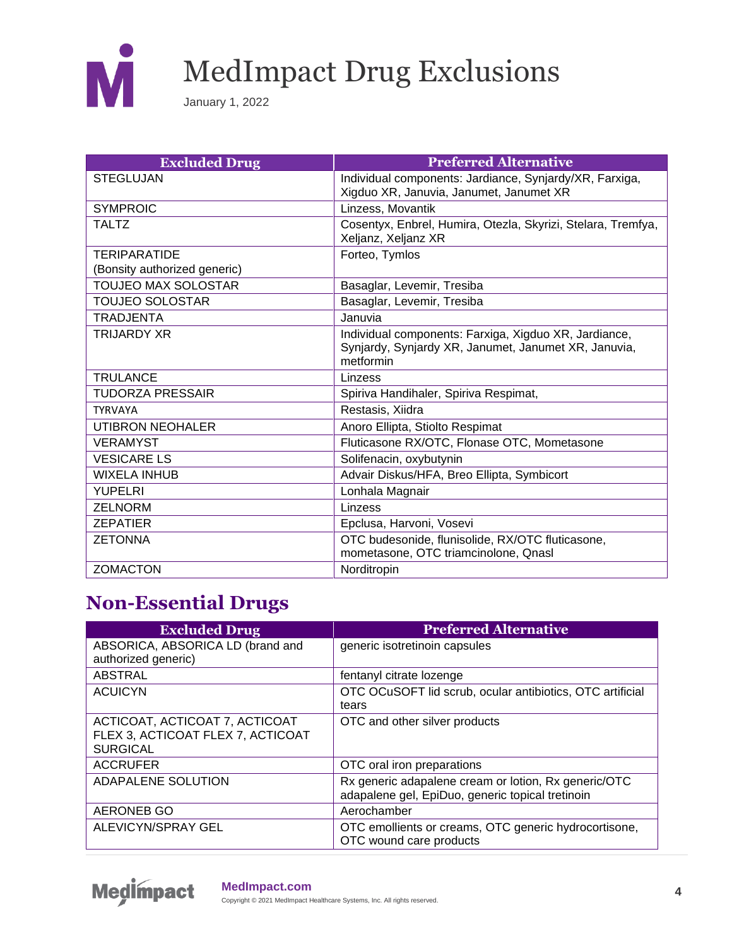

January 1, 2022

| <b>Excluded Drug</b>         | <b>Preferred Alternative</b>                                                                                               |
|------------------------------|----------------------------------------------------------------------------------------------------------------------------|
| <b>STEGLUJAN</b>             | Individual components: Jardiance, Synjardy/XR, Farxiga,<br>Xigduo XR, Januvia, Janumet, Janumet XR                         |
| <b>SYMPROIC</b>              |                                                                                                                            |
|                              | Linzess, Movantik                                                                                                          |
| <b>TALTZ</b>                 | Cosentyx, Enbrel, Humira, Otezla, Skyrizi, Stelara, Tremfya,<br>Xeljanz, Xeljanz XR                                        |
| <b>TERIPARATIDE</b>          | Forteo, Tymlos                                                                                                             |
| (Bonsity authorized generic) |                                                                                                                            |
| <b>TOUJEO MAX SOLOSTAR</b>   | Basaglar, Levemir, Tresiba                                                                                                 |
| <b>TOUJEO SOLOSTAR</b>       | Basaglar, Levemir, Tresiba                                                                                                 |
| <b>TRADJENTA</b>             | Januvia                                                                                                                    |
| <b>TRIJARDY XR</b>           | Individual components: Farxiga, Xigduo XR, Jardiance,<br>Synjardy, Synjardy XR, Janumet, Janumet XR, Januvia,<br>metformin |
| <b>TRULANCE</b>              | Linzess                                                                                                                    |
| <b>TUDORZA PRESSAIR</b>      | Spiriva Handihaler, Spiriva Respimat,                                                                                      |
| <b>TYRVAYA</b>               | Restasis, Xiidra                                                                                                           |
| UTIBRON NEOHALER             | Anoro Ellipta, Stiolto Respimat                                                                                            |
| <b>VERAMYST</b>              | Fluticasone RX/OTC, Flonase OTC, Mometasone                                                                                |
| <b>VESICARE LS</b>           | Solifenacin, oxybutynin                                                                                                    |
| <b>WIXELA INHUB</b>          | Advair Diskus/HFA, Breo Ellipta, Symbicort                                                                                 |
| <b>YUPELRI</b>               | Lonhala Magnair                                                                                                            |
| <b>ZELNORM</b>               | Linzess                                                                                                                    |
| <b>ZEPATIER</b>              | Epclusa, Harvoni, Vosevi                                                                                                   |
| <b>ZETONNA</b>               | OTC budesonide, flunisolide, RX/OTC fluticasone,                                                                           |
|                              | mometasone, OTC triamcinolone, Qnasl                                                                                       |
| <b>ZOMACTON</b>              | Norditropin                                                                                                                |

#### **Non-Essential Drugs**

| <b>Excluded Drug</b>                                                                   | <b>Preferred Alternative</b>                                                                             |
|----------------------------------------------------------------------------------------|----------------------------------------------------------------------------------------------------------|
| ABSORICA, ABSORICA LD (brand and<br>authorized generic)                                | generic isotretinoin capsules                                                                            |
|                                                                                        |                                                                                                          |
| <b>ABSTRAL</b>                                                                         | fentanyl citrate lozenge                                                                                 |
| <b>ACUICYN</b>                                                                         | OTC OCuSOFT lid scrub, ocular antibiotics, OTC artificial<br>tears                                       |
| ACTICOAT, ACTICOAT 7, ACTICOAT<br>FLEX 3, ACTICOAT FLEX 7, ACTICOAT<br><b>SURGICAL</b> | OTC and other silver products                                                                            |
| <b>ACCRUFER</b>                                                                        | OTC oral iron preparations                                                                               |
| ADAPALENE SOLUTION                                                                     | Rx generic adapalene cream or lotion, Rx generic/OTC<br>adapalene gel, EpiDuo, generic topical tretinoin |
| <b>AERONEB GO</b>                                                                      | Aerochamber                                                                                              |
| ALEVICYN/SPRAY GEL                                                                     | OTC emollients or creams, OTC generic hydrocortisone,<br>OTC wound care products                         |

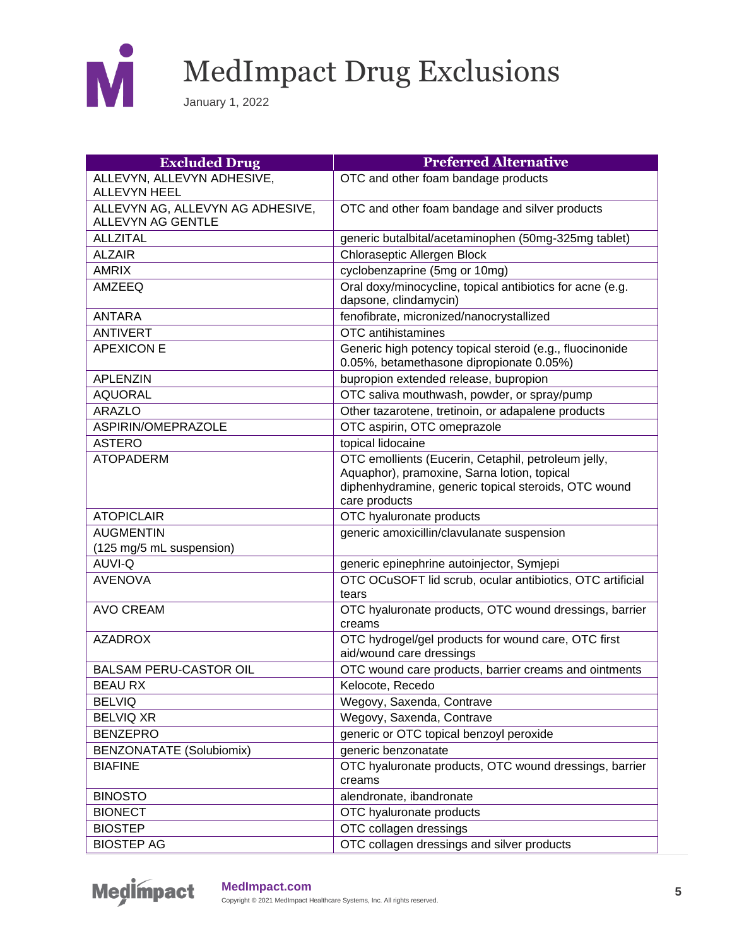

| <b>Excluded Drug</b>                                  | <b>Preferred Alternative</b>                                                                                                                                                |
|-------------------------------------------------------|-----------------------------------------------------------------------------------------------------------------------------------------------------------------------------|
| ALLEVYN, ALLEVYN ADHESIVE,<br><b>ALLEVYN HEEL</b>     | OTC and other foam bandage products                                                                                                                                         |
| ALLEVYN AG, ALLEVYN AG ADHESIVE,<br>ALLEVYN AG GENTLE | OTC and other foam bandage and silver products                                                                                                                              |
| <b>ALLZITAL</b>                                       | generic butalbital/acetaminophen (50mg-325mg tablet)                                                                                                                        |
| <b>ALZAIR</b>                                         | Chloraseptic Allergen Block                                                                                                                                                 |
| <b>AMRIX</b>                                          | cyclobenzaprine (5mg or 10mg)                                                                                                                                               |
| <b>AMZEEQ</b>                                         | Oral doxy/minocycline, topical antibiotics for acne (e.g.<br>dapsone, clindamycin)                                                                                          |
| <b>ANTARA</b>                                         | fenofibrate, micronized/nanocrystallized                                                                                                                                    |
| <b>ANTIVERT</b>                                       | OTC antihistamines                                                                                                                                                          |
| <b>APEXICON E</b>                                     | Generic high potency topical steroid (e.g., fluocinonide<br>0.05%, betamethasone dipropionate 0.05%)                                                                        |
| <b>APLENZIN</b>                                       | bupropion extended release, bupropion                                                                                                                                       |
| <b>AQUORAL</b>                                        | OTC saliva mouthwash, powder, or spray/pump                                                                                                                                 |
| <b>ARAZLO</b>                                         | Other tazarotene, tretinoin, or adapalene products                                                                                                                          |
| ASPIRIN/OMEPRAZOLE                                    | OTC aspirin, OTC omeprazole                                                                                                                                                 |
| <b>ASTERO</b>                                         | topical lidocaine                                                                                                                                                           |
| <b>ATOPADERM</b>                                      | OTC emollients (Eucerin, Cetaphil, petroleum jelly,<br>Aquaphor), pramoxine, Sarna lotion, topical<br>diphenhydramine, generic topical steroids, OTC wound<br>care products |
| <b>ATOPICLAIR</b>                                     | OTC hyaluronate products                                                                                                                                                    |
| <b>AUGMENTIN</b><br>(125 mg/5 mL suspension)          | generic amoxicillin/clavulanate suspension                                                                                                                                  |
| <b>AUVI-Q</b>                                         | generic epinephrine autoinjector, Symjepi                                                                                                                                   |
| <b>AVENOVA</b>                                        | OTC OCuSOFT lid scrub, ocular antibiotics, OTC artificial<br>tears                                                                                                          |
| <b>AVO CREAM</b>                                      | OTC hyaluronate products, OTC wound dressings, barrier<br>creams                                                                                                            |
| <b>AZADROX</b>                                        | OTC hydrogel/gel products for wound care, OTC first<br>aid/wound care dressings                                                                                             |
| <b>BALSAM PERU-CASTOR OIL</b>                         | OTC wound care products, barrier creams and ointments                                                                                                                       |
| <b>BEAU RX</b>                                        | Kelocote, Recedo                                                                                                                                                            |
| <b>BELVIQ</b>                                         | Wegovy, Saxenda, Contrave                                                                                                                                                   |
| <b>BELVIQ XR</b>                                      | Wegovy, Saxenda, Contrave                                                                                                                                                   |
| <b>BENZEPRO</b>                                       | generic or OTC topical benzoyl peroxide                                                                                                                                     |
| <b>BENZONATATE (Solubiomix)</b>                       | generic benzonatate                                                                                                                                                         |
| <b>BIAFINE</b>                                        | OTC hyaluronate products, OTC wound dressings, barrier<br>creams                                                                                                            |
| <b>BINOSTO</b>                                        | alendronate, ibandronate                                                                                                                                                    |
| <b>BIONECT</b>                                        | OTC hyaluronate products                                                                                                                                                    |
| <b>BIOSTEP</b>                                        | OTC collagen dressings                                                                                                                                                      |
| <b>BIOSTEP AG</b>                                     | OTC collagen dressings and silver products                                                                                                                                  |

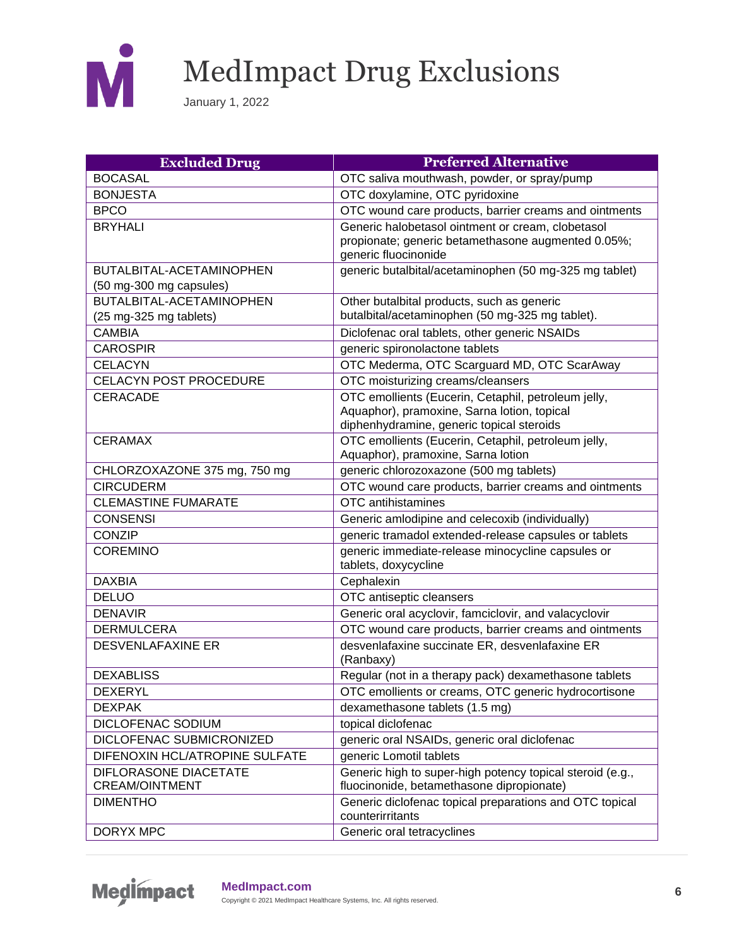

| <b>Excluded Drug</b>           | <b>Preferred Alternative</b>                                                                             |
|--------------------------------|----------------------------------------------------------------------------------------------------------|
| <b>BOCASAL</b>                 | OTC saliva mouthwash, powder, or spray/pump                                                              |
| <b>BONJESTA</b>                | OTC doxylamine, OTC pyridoxine                                                                           |
| <b>BPCO</b>                    | OTC wound care products, barrier creams and ointments                                                    |
| <b>BRYHALI</b>                 | Generic halobetasol ointment or cream, clobetasol                                                        |
|                                | propionate; generic betamethasone augmented 0.05%;<br>generic fluocinonide                               |
| BUTALBITAL-ACETAMINOPHEN       | generic butalbital/acetaminophen (50 mg-325 mg tablet)                                                   |
| (50 mg-300 mg capsules)        |                                                                                                          |
| BUTALBITAL-ACETAMINOPHEN       | Other butalbital products, such as generic                                                               |
| (25 mg-325 mg tablets)         | butalbital/acetaminophen (50 mg-325 mg tablet).                                                          |
| <b>CAMBIA</b>                  | Diclofenac oral tablets, other generic NSAIDs                                                            |
| <b>CAROSPIR</b>                | generic spironolactone tablets                                                                           |
| CELACYN                        | OTC Mederma, OTC Scarguard MD, OTC ScarAway                                                              |
| CELACYN POST PROCEDURE         | OTC moisturizing creams/cleansers                                                                        |
| <b>CERACADE</b>                | OTC emollients (Eucerin, Cetaphil, petroleum jelly,                                                      |
|                                | Aquaphor), pramoxine, Sarna lotion, topical                                                              |
|                                | diphenhydramine, generic topical steroids                                                                |
| <b>CERAMAX</b>                 | OTC emollients (Eucerin, Cetaphil, petroleum jelly,<br>Aquaphor), pramoxine, Sarna lotion                |
| CHLORZOXAZONE 375 mg, 750 mg   | generic chlorozoxazone (500 mg tablets)                                                                  |
| <b>CIRCUDERM</b>               | OTC wound care products, barrier creams and ointments                                                    |
| <b>CLEMASTINE FUMARATE</b>     | OTC antihistamines                                                                                       |
| <b>CONSENSI</b>                |                                                                                                          |
| <b>CONZIP</b>                  | Generic amlodipine and celecoxib (individually)<br>generic tramadol extended-release capsules or tablets |
| <b>COREMINO</b>                | generic immediate-release minocycline capsules or                                                        |
|                                | tablets, doxycycline                                                                                     |
| <b>DAXBIA</b>                  | Cephalexin                                                                                               |
| <b>DELUO</b>                   | OTC antiseptic cleansers                                                                                 |
| <b>DENAVIR</b>                 | Generic oral acyclovir, famciclovir, and valacyclovir                                                    |
| <b>DERMULCERA</b>              | OTC wound care products, barrier creams and ointments                                                    |
| <b>DESVENLAFAXINE ER</b>       | desvenlafaxine succinate ER, desvenlafaxine ER<br>(Ranbaxy)                                              |
| <b>DEXABLISS</b>               | Regular (not in a therapy pack) dexamethasone tablets                                                    |
| <b>DEXERYL</b>                 | OTC emollients or creams, OTC generic hydrocortisone                                                     |
| <b>DEXPAK</b>                  | dexamethasone tablets (1.5 mg)                                                                           |
| DICLOFENAC SODIUM              | topical diclofenac                                                                                       |
| DICLOFENAC SUBMICRONIZED       | generic oral NSAIDs, generic oral diclofenac                                                             |
| DIFENOXIN HCL/ATROPINE SULFATE | generic Lomotil tablets                                                                                  |
| DIFLORASONE DIACETATE          | Generic high to super-high potency topical steroid (e.g.,                                                |
| <b>CREAM/OINTMENT</b>          | fluocinonide, betamethasone dipropionate)                                                                |
| <b>DIMENTHO</b>                | Generic diclofenac topical preparations and OTC topical<br>counterirritants                              |
| DORYX MPC                      | Generic oral tetracyclines                                                                               |

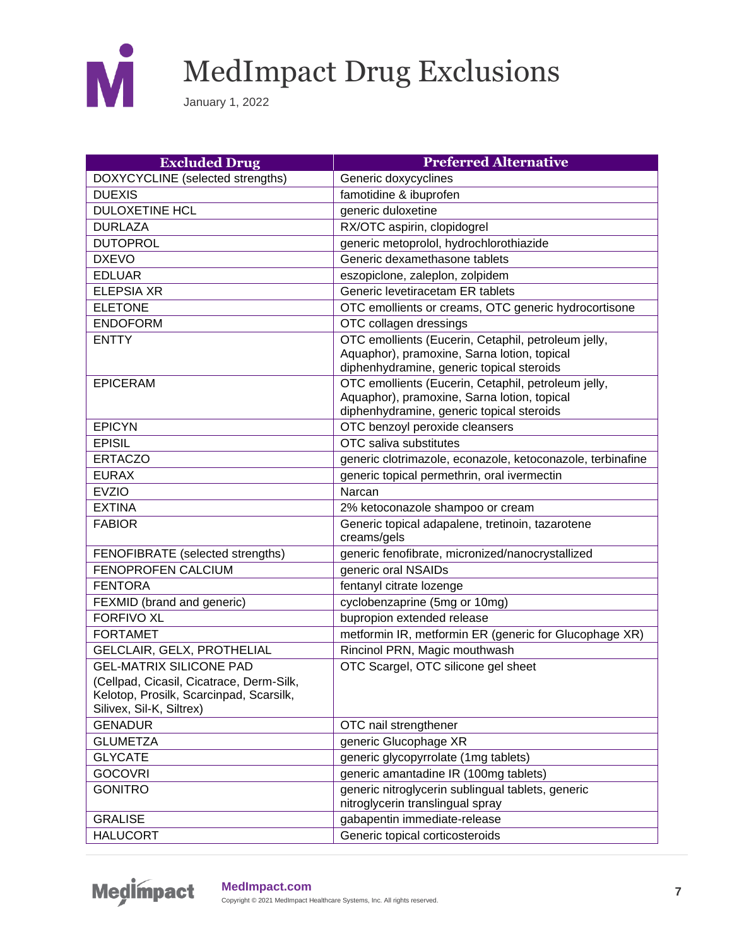

| <b>Excluded Drug</b>                                                                                                                              | <b>Preferred Alternative</b>                                                                                                                    |
|---------------------------------------------------------------------------------------------------------------------------------------------------|-------------------------------------------------------------------------------------------------------------------------------------------------|
| DOXYCYCLINE (selected strengths)                                                                                                                  | Generic doxycyclines                                                                                                                            |
| <b>DUEXIS</b>                                                                                                                                     | famotidine & ibuprofen                                                                                                                          |
| <b>DULOXETINE HCL</b>                                                                                                                             | generic duloxetine                                                                                                                              |
| <b>DURLAZA</b>                                                                                                                                    | RX/OTC aspirin, clopidogrel                                                                                                                     |
| <b>DUTOPROL</b>                                                                                                                                   | generic metoprolol, hydrochlorothiazide                                                                                                         |
| <b>DXEVO</b>                                                                                                                                      | Generic dexamethasone tablets                                                                                                                   |
| <b>EDLUAR</b>                                                                                                                                     | eszopiclone, zaleplon, zolpidem                                                                                                                 |
| <b>ELEPSIA XR</b>                                                                                                                                 | Generic levetiracetam ER tablets                                                                                                                |
| <b>ELETONE</b>                                                                                                                                    | OTC emollients or creams, OTC generic hydrocortisone                                                                                            |
| <b>ENDOFORM</b>                                                                                                                                   | OTC collagen dressings                                                                                                                          |
| <b>ENTTY</b>                                                                                                                                      | OTC emollients (Eucerin, Cetaphil, petroleum jelly,<br>Aquaphor), pramoxine, Sarna lotion, topical<br>diphenhydramine, generic topical steroids |
| <b>EPICERAM</b>                                                                                                                                   | OTC emollients (Eucerin, Cetaphil, petroleum jelly,<br>Aquaphor), pramoxine, Sarna lotion, topical<br>diphenhydramine, generic topical steroids |
| <b>EPICYN</b>                                                                                                                                     | OTC benzoyl peroxide cleansers                                                                                                                  |
| <b>EPISIL</b>                                                                                                                                     | OTC saliva substitutes                                                                                                                          |
| <b>ERTACZO</b>                                                                                                                                    | generic clotrimazole, econazole, ketoconazole, terbinafine                                                                                      |
| <b>EURAX</b>                                                                                                                                      | generic topical permethrin, oral ivermectin                                                                                                     |
| <b>EVZIO</b>                                                                                                                                      | Narcan                                                                                                                                          |
| <b>EXTINA</b>                                                                                                                                     | 2% ketoconazole shampoo or cream                                                                                                                |
| <b>FABIOR</b>                                                                                                                                     | Generic topical adapalene, tretinoin, tazarotene<br>creams/gels                                                                                 |
| FENOFIBRATE (selected strengths)                                                                                                                  | generic fenofibrate, micronized/nanocrystallized                                                                                                |
| FENOPROFEN CALCIUM                                                                                                                                | generic oral NSAIDs                                                                                                                             |
| <b>FENTORA</b>                                                                                                                                    | fentanyl citrate lozenge                                                                                                                        |
| FEXMID (brand and generic)                                                                                                                        | cyclobenzaprine (5mg or 10mg)                                                                                                                   |
| <b>FORFIVO XL</b>                                                                                                                                 | bupropion extended release                                                                                                                      |
| <b>FORTAMET</b>                                                                                                                                   | metformin IR, metformin ER (generic for Glucophage XR)                                                                                          |
| GELCLAIR, GELX, PROTHELIAL                                                                                                                        | Rincinol PRN, Magic mouthwash                                                                                                                   |
| <b>GEL-MATRIX SILICONE PAD</b><br>(Cellpad, Cicasil, Cicatrace, Derm-Silk,<br>Kelotop, Prosilk, Scarcinpad, Scarsilk,<br>Silivex, Sil-K, Siltrex) | OTC Scargel, OTC silicone gel sheet                                                                                                             |
| <b>GENADUR</b>                                                                                                                                    | OTC nail strengthener                                                                                                                           |
| <b>GLUMETZA</b>                                                                                                                                   | generic Glucophage XR                                                                                                                           |
| <b>GLYCATE</b>                                                                                                                                    | generic glycopyrrolate (1mg tablets)                                                                                                            |
| <b>GOCOVRI</b>                                                                                                                                    | generic amantadine IR (100mg tablets)                                                                                                           |
| <b>GONITRO</b>                                                                                                                                    | generic nitroglycerin sublingual tablets, generic<br>nitroglycerin translingual spray                                                           |
| <b>GRALISE</b>                                                                                                                                    | gabapentin immediate-release                                                                                                                    |
| <b>HALUCORT</b>                                                                                                                                   | Generic topical corticosteroids                                                                                                                 |

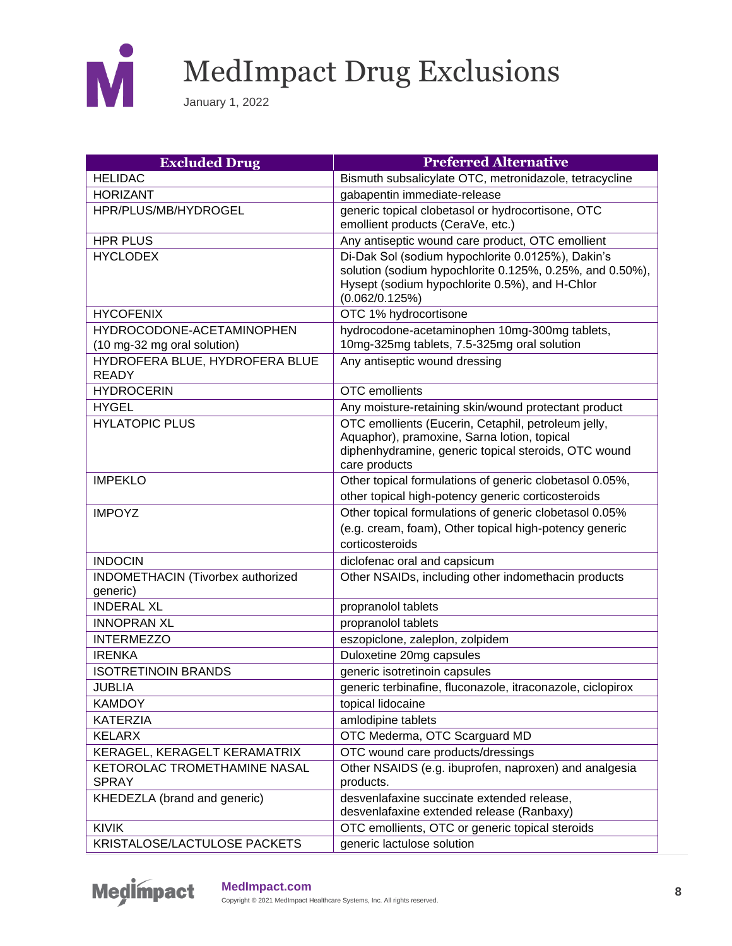

| <b>Excluded Drug</b>                                     | <b>Preferred Alternative</b>                                                                                                                                                      |
|----------------------------------------------------------|-----------------------------------------------------------------------------------------------------------------------------------------------------------------------------------|
| <b>HELIDAC</b>                                           | Bismuth subsalicylate OTC, metronidazole, tetracycline                                                                                                                            |
| <b>HORIZANT</b>                                          | gabapentin immediate-release                                                                                                                                                      |
| HPR/PLUS/MB/HYDROGEL                                     | generic topical clobetasol or hydrocortisone, OTC<br>emollient products (CeraVe, etc.)                                                                                            |
| <b>HPR PLUS</b>                                          | Any antiseptic wound care product, OTC emollient                                                                                                                                  |
| <b>HYCLODEX</b>                                          | Di-Dak Sol (sodium hypochlorite 0.0125%), Dakin's<br>solution (sodium hypochlorite 0.125%, 0.25%, and 0.50%),<br>Hysept (sodium hypochlorite 0.5%), and H-Chlor<br>(0.062/0.125%) |
| <b>HYCOFENIX</b>                                         | OTC 1% hydrocortisone                                                                                                                                                             |
| HYDROCODONE-ACETAMINOPHEN<br>(10 mg-32 mg oral solution) | hydrocodone-acetaminophen 10mg-300mg tablets,<br>10mg-325mg tablets, 7.5-325mg oral solution                                                                                      |
| HYDROFERA BLUE, HYDROFERA BLUE<br><b>READY</b>           | Any antiseptic wound dressing                                                                                                                                                     |
| <b>HYDROCERIN</b>                                        | OTC emollients                                                                                                                                                                    |
| <b>HYGEL</b>                                             | Any moisture-retaining skin/wound protectant product                                                                                                                              |
| <b>HYLATOPIC PLUS</b>                                    | OTC emollients (Eucerin, Cetaphil, petroleum jelly,<br>Aquaphor), pramoxine, Sarna lotion, topical<br>diphenhydramine, generic topical steroids, OTC wound<br>care products       |
| <b>IMPEKLO</b>                                           | Other topical formulations of generic clobetasol 0.05%,                                                                                                                           |
|                                                          | other topical high-potency generic corticosteroids                                                                                                                                |
| <b>IMPOYZ</b>                                            | Other topical formulations of generic clobetasol 0.05%<br>(e.g. cream, foam), Other topical high-potency generic<br>corticosteroids                                               |
| <b>INDOCIN</b>                                           | diclofenac oral and capsicum                                                                                                                                                      |
| INDOMETHACIN (Tivorbex authorized<br>generic)            | Other NSAIDs, including other indomethacin products                                                                                                                               |
| <b>INDERAL XL</b>                                        | propranolol tablets                                                                                                                                                               |
| <b>INNOPRAN XL</b>                                       | propranolol tablets                                                                                                                                                               |
| <b>INTERMEZZO</b>                                        | eszopiclone, zaleplon, zolpidem                                                                                                                                                   |
| <b>IRENKA</b>                                            | Duloxetine 20mg capsules                                                                                                                                                          |
| <b>ISOTRETINOIN BRANDS</b>                               | generic isotretinoin capsules                                                                                                                                                     |
| <b>JUBLIA</b>                                            | generic terbinafine, fluconazole, itraconazole, ciclopirox                                                                                                                        |
| <b>KAMDOY</b>                                            | topical lidocaine                                                                                                                                                                 |
| <b>KATERZIA</b>                                          | amlodipine tablets                                                                                                                                                                |
| <b>KELARX</b>                                            | OTC Mederma, OTC Scarguard MD                                                                                                                                                     |
| KERAGEL, KERAGELT KERAMATRIX                             | OTC wound care products/dressings                                                                                                                                                 |
| KETOROLAC TROMETHAMINE NASAL<br><b>SPRAY</b>             | Other NSAIDS (e.g. ibuprofen, naproxen) and analgesia<br>products.                                                                                                                |
| KHEDEZLA (brand and generic)                             | desvenlafaxine succinate extended release,<br>desvenlafaxine extended release (Ranbaxy)                                                                                           |
| <b>KIVIK</b>                                             | OTC emollients, OTC or generic topical steroids                                                                                                                                   |
| KRISTALOSE/LACTULOSE PACKETS                             | generic lactulose solution                                                                                                                                                        |

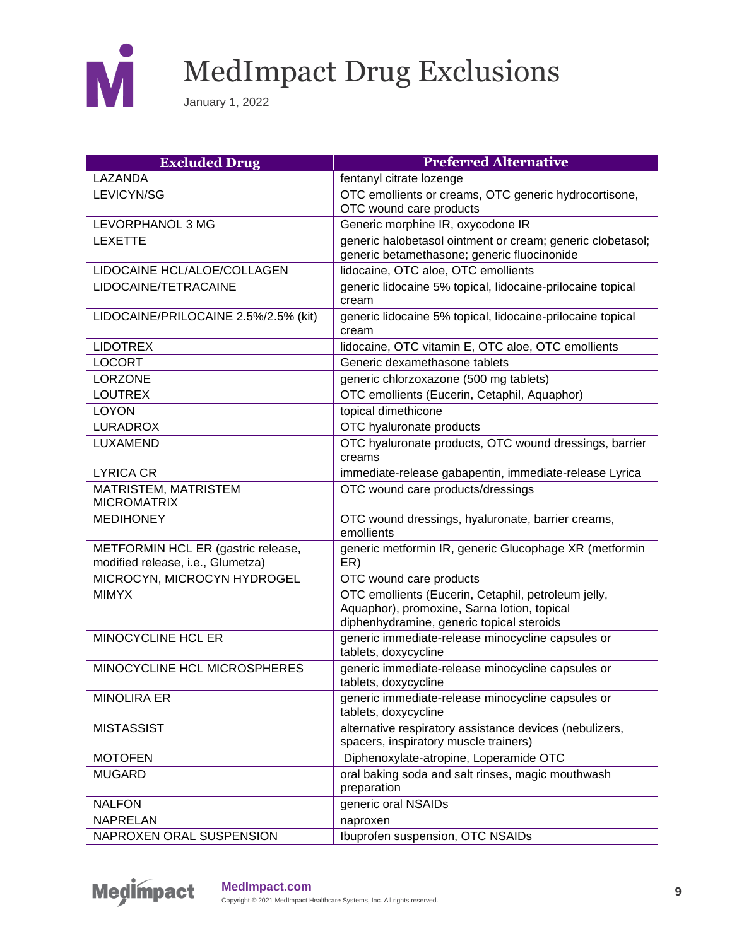

| <b>Excluded Drug</b>                                                    | <b>Preferred Alternative</b>                                                                                                                    |
|-------------------------------------------------------------------------|-------------------------------------------------------------------------------------------------------------------------------------------------|
| LAZANDA                                                                 | fentanyl citrate lozenge                                                                                                                        |
| LEVICYN/SG                                                              | OTC emollients or creams, OTC generic hydrocortisone,<br>OTC wound care products                                                                |
| LEVORPHANOL 3 MG                                                        | Generic morphine IR, oxycodone IR                                                                                                               |
| <b>LEXETTE</b>                                                          | generic halobetasol ointment or cream; generic clobetasol;<br>generic betamethasone; generic fluocinonide                                       |
| LIDOCAINE HCL/ALOE/COLLAGEN                                             | lidocaine, OTC aloe, OTC emollients                                                                                                             |
| LIDOCAINE/TETRACAINE                                                    | generic lidocaine 5% topical, lidocaine-prilocaine topical<br>cream                                                                             |
| LIDOCAINE/PRILOCAINE 2.5%/2.5% (kit)                                    | generic lidocaine 5% topical, lidocaine-prilocaine topical<br>cream                                                                             |
| <b>LIDOTREX</b>                                                         | lidocaine, OTC vitamin E, OTC aloe, OTC emollients                                                                                              |
| <b>LOCORT</b>                                                           | Generic dexamethasone tablets                                                                                                                   |
| <b>LORZONE</b>                                                          | generic chlorzoxazone (500 mg tablets)                                                                                                          |
| <b>LOUTREX</b>                                                          | OTC emollients (Eucerin, Cetaphil, Aquaphor)                                                                                                    |
| <b>LOYON</b>                                                            | topical dimethicone                                                                                                                             |
| <b>LURADROX</b>                                                         | OTC hyaluronate products                                                                                                                        |
| LUXAMEND                                                                | OTC hyaluronate products, OTC wound dressings, barrier<br>creams                                                                                |
| <b>LYRICA CR</b>                                                        | immediate-release gabapentin, immediate-release Lyrica                                                                                          |
| <b>MATRISTEM, MATRISTEM</b><br><b>MICROMATRIX</b>                       | OTC wound care products/dressings                                                                                                               |
| <b>MEDIHONEY</b>                                                        | OTC wound dressings, hyaluronate, barrier creams,<br>emollients                                                                                 |
| METFORMIN HCL ER (gastric release,<br>modified release, i.e., Glumetza) | generic metformin IR, generic Glucophage XR (metformin<br>ER)                                                                                   |
| MICROCYN, MICROCYN HYDROGEL                                             | OTC wound care products                                                                                                                         |
| <b>MIMYX</b>                                                            | OTC emollients (Eucerin, Cetaphil, petroleum jelly,<br>Aquaphor), promoxine, Sarna lotion, topical<br>diphenhydramine, generic topical steroids |
| <b>MINOCYCLINE HCL ER</b>                                               | generic immediate-release minocycline capsules or<br>tablets, doxycycline                                                                       |
| MINOCYCLINE HCL MICROSPHERES                                            | generic immediate-release minocycline capsules or<br>tablets, doxycycline                                                                       |
| <b>MINOLIRA ER</b>                                                      | generic immediate-release minocycline capsules or<br>tablets, doxycycline                                                                       |
| <b>MISTASSIST</b>                                                       | alternative respiratory assistance devices (nebulizers,<br>spacers, inspiratory muscle trainers)                                                |
| <b>MOTOFEN</b>                                                          | Diphenoxylate-atropine, Loperamide OTC                                                                                                          |
| <b>MUGARD</b>                                                           | oral baking soda and salt rinses, magic mouthwash<br>preparation                                                                                |
| <b>NALFON</b>                                                           | generic oral NSAIDs                                                                                                                             |
| <b>NAPRELAN</b>                                                         | naproxen                                                                                                                                        |
| NAPROXEN ORAL SUSPENSION                                                | Ibuprofen suspension, OTC NSAIDs                                                                                                                |

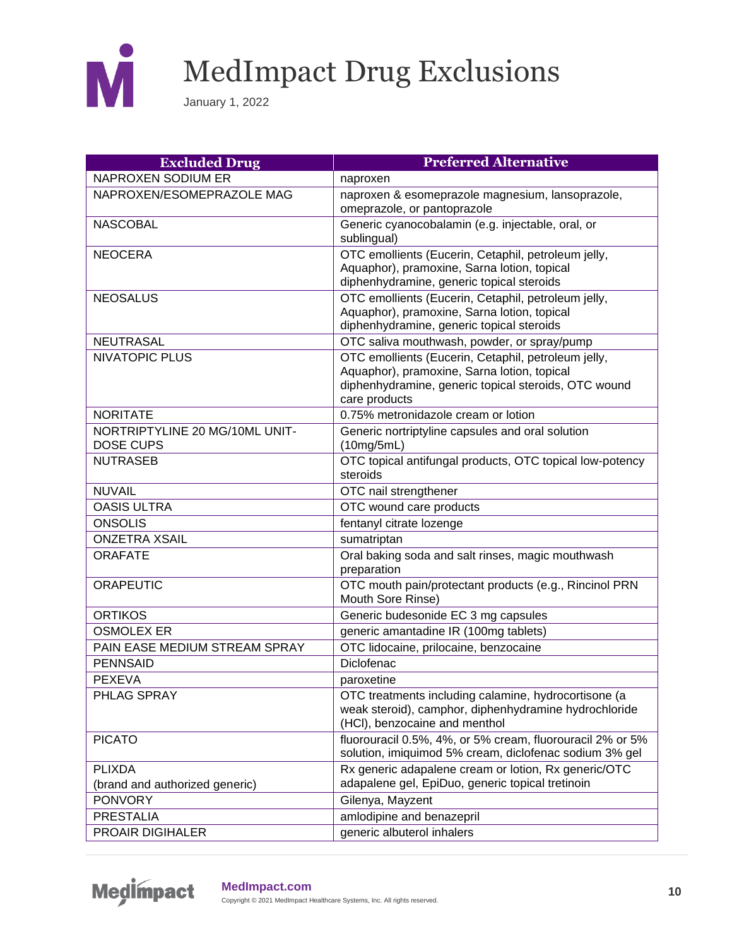

| <b>Excluded Drug</b>                               | <b>Preferred Alternative</b>                                                                                                                                                |
|----------------------------------------------------|-----------------------------------------------------------------------------------------------------------------------------------------------------------------------------|
| <b>NAPROXEN SODIUM ER</b>                          | naproxen                                                                                                                                                                    |
| NAPROXEN/ESOMEPRAZOLE MAG                          | naproxen & esomeprazole magnesium, lansoprazole,<br>omeprazole, or pantoprazole                                                                                             |
| <b>NASCOBAL</b>                                    | Generic cyanocobalamin (e.g. injectable, oral, or<br>sublingual)                                                                                                            |
| <b>NEOCERA</b>                                     | OTC emollients (Eucerin, Cetaphil, petroleum jelly,<br>Aquaphor), pramoxine, Sarna lotion, topical<br>diphenhydramine, generic topical steroids                             |
| <b>NEOSALUS</b>                                    | OTC emollients (Eucerin, Cetaphil, petroleum jelly,<br>Aquaphor), pramoxine, Sarna lotion, topical<br>diphenhydramine, generic topical steroids                             |
| <b>NEUTRASAL</b>                                   | OTC saliva mouthwash, powder, or spray/pump                                                                                                                                 |
| <b>NIVATOPIC PLUS</b>                              | OTC emollients (Eucerin, Cetaphil, petroleum jelly,<br>Aquaphor), pramoxine, Sarna lotion, topical<br>diphenhydramine, generic topical steroids, OTC wound<br>care products |
| <b>NORITATE</b>                                    | 0.75% metronidazole cream or lotion                                                                                                                                         |
| NORTRIPTYLINE 20 MG/10ML UNIT-<br><b>DOSE CUPS</b> | Generic nortriptyline capsules and oral solution<br>(10mg/5mL)                                                                                                              |
| <b>NUTRASEB</b>                                    | OTC topical antifungal products, OTC topical low-potency<br>steroids                                                                                                        |
| <b>NUVAIL</b>                                      | OTC nail strengthener                                                                                                                                                       |
| <b>OASIS ULTRA</b>                                 | OTC wound care products                                                                                                                                                     |
| <b>ONSOLIS</b>                                     | fentanyl citrate lozenge                                                                                                                                                    |
| <b>ONZETRA XSAIL</b>                               | sumatriptan                                                                                                                                                                 |
| <b>ORAFATE</b>                                     | Oral baking soda and salt rinses, magic mouthwash<br>preparation                                                                                                            |
| <b>ORAPEUTIC</b>                                   | OTC mouth pain/protectant products (e.g., Rincinol PRN<br>Mouth Sore Rinse)                                                                                                 |
| <b>ORTIKOS</b>                                     | Generic budesonide EC 3 mg capsules                                                                                                                                         |
| <b>OSMOLEX ER</b>                                  | generic amantadine IR (100mg tablets)                                                                                                                                       |
| PAIN EASE MEDIUM STREAM SPRAY                      | OTC lidocaine, prilocaine, benzocaine                                                                                                                                       |
| <b>PENNSAID</b>                                    | <b>Diclofenac</b>                                                                                                                                                           |
| <b>PEXEVA</b>                                      | paroxetine                                                                                                                                                                  |
| PHLAG SPRAY                                        | OTC treatments including calamine, hydrocortisone (a<br>weak steroid), camphor, diphenhydramine hydrochloride<br>(HCI), benzocaine and menthol                              |
| <b>PICATO</b>                                      | fluorouracil 0.5%, 4%, or 5% cream, fluorouracil 2% or 5%<br>solution, imiquimod 5% cream, diclofenac sodium 3% gel                                                         |
| <b>PLIXDA</b><br>(brand and authorized generic)    | Rx generic adapalene cream or lotion, Rx generic/OTC<br>adapalene gel, EpiDuo, generic topical tretinoin                                                                    |
| <b>PONVORY</b>                                     | Gilenya, Mayzent                                                                                                                                                            |
| <b>PRESTALIA</b>                                   | amlodipine and benazepril                                                                                                                                                   |
| PROAIR DIGIHALER                                   | generic albuterol inhalers                                                                                                                                                  |

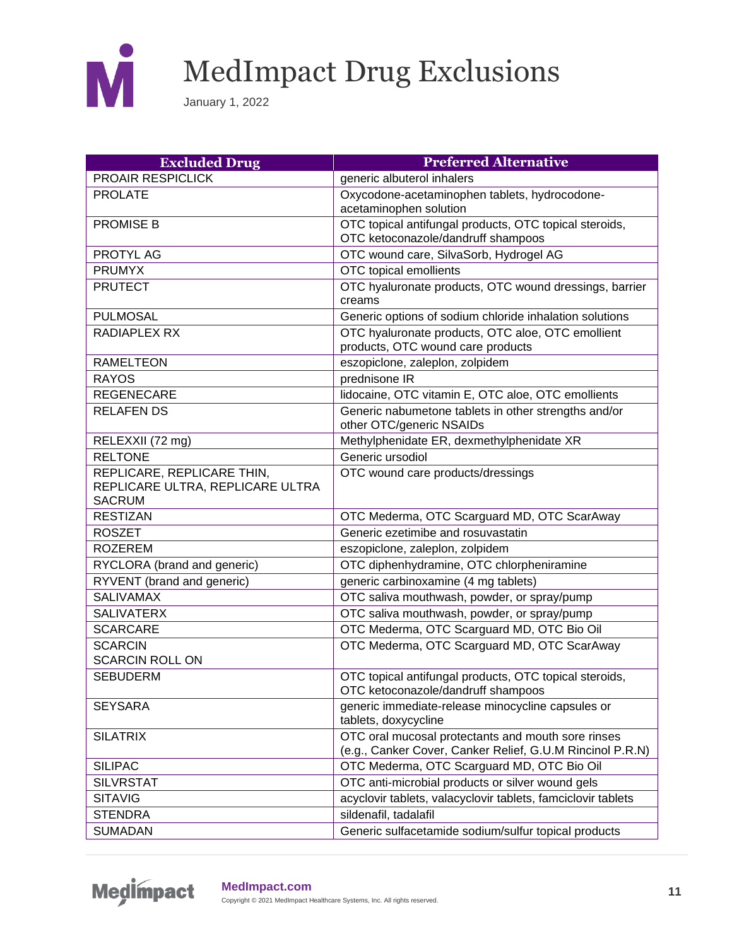

| <b>Excluded Drug</b>             | <b>Preferred Alternative</b>                                                                 |
|----------------------------------|----------------------------------------------------------------------------------------------|
| PROAIR RESPICLICK                | generic albuterol inhalers                                                                   |
| <b>PROLATE</b>                   | Oxycodone-acetaminophen tablets, hydrocodone-                                                |
|                                  | acetaminophen solution                                                                       |
| <b>PROMISE B</b>                 | OTC topical antifungal products, OTC topical steroids,                                       |
|                                  | OTC ketoconazole/dandruff shampoos                                                           |
| PROTYL AG                        | OTC wound care, SilvaSorb, Hydrogel AG                                                       |
| <b>PRUMYX</b>                    | OTC topical emollients                                                                       |
| <b>PRUTECT</b>                   | OTC hyaluronate products, OTC wound dressings, barrier<br>creams                             |
| <b>PULMOSAL</b>                  | Generic options of sodium chloride inhalation solutions                                      |
| RADIAPLEX RX                     | OTC hyaluronate products, OTC aloe, OTC emollient<br>products, OTC wound care products       |
| <b>RAMELTEON</b>                 | eszopiclone, zaleplon, zolpidem                                                              |
| <b>RAYOS</b>                     | prednisone IR                                                                                |
| <b>REGENECARE</b>                | lidocaine, OTC vitamin E, OTC aloe, OTC emollients                                           |
| <b>RELAFEN DS</b>                | Generic nabumetone tablets in other strengths and/or<br>other OTC/generic NSAIDs             |
| RELEXXII (72 mg)                 | Methylphenidate ER, dexmethylphenidate XR                                                    |
| <b>RELTONE</b>                   | Generic ursodiol                                                                             |
| REPLICARE, REPLICARE THIN,       | OTC wound care products/dressings                                                            |
| REPLICARE ULTRA, REPLICARE ULTRA |                                                                                              |
| <b>SACRUM</b>                    |                                                                                              |
| <b>RESTIZAN</b>                  | OTC Mederma, OTC Scarguard MD, OTC ScarAway                                                  |
| <b>ROSZET</b>                    | Generic ezetimibe and rosuvastatin                                                           |
| <b>ROZEREM</b>                   | eszopiclone, zaleplon, zolpidem                                                              |
| RYCLORA (brand and generic)      | OTC diphenhydramine, OTC chlorpheniramine                                                    |
| RYVENT (brand and generic)       | generic carbinoxamine (4 mg tablets)                                                         |
| <b>SALIVAMAX</b>                 | OTC saliva mouthwash, powder, or spray/pump                                                  |
| <b>SALIVATERX</b>                | OTC saliva mouthwash, powder, or spray/pump                                                  |
| <b>SCARCARE</b>                  | OTC Mederma, OTC Scarguard MD, OTC Bio Oil                                                   |
| <b>SCARCIN</b>                   | OTC Mederma, OTC Scarguard MD, OTC ScarAway                                                  |
| <b>SCARCIN ROLL ON</b>           |                                                                                              |
| <b>SEBUDERM</b>                  | OTC topical antifungal products, OTC topical steroids,<br>OTC ketoconazole/dandruff shampoos |
| <b>SEYSARA</b>                   | generic immediate-release minocycline capsules or<br>tablets, doxycycline                    |
| <b>SILATRIX</b>                  | OTC oral mucosal protectants and mouth sore rinses                                           |
|                                  | (e.g., Canker Cover, Canker Relief, G.U.M Rincinol P.R.N)                                    |
| <b>SILIPAC</b>                   | OTC Mederma, OTC Scarguard MD, OTC Bio Oil                                                   |
| <b>SILVRSTAT</b>                 | OTC anti-microbial products or silver wound gels                                             |
| <b>SITAVIG</b>                   | acyclovir tablets, valacyclovir tablets, famciclovir tablets                                 |
| <b>STENDRA</b>                   | sildenafil, tadalafil                                                                        |
| <b>SUMADAN</b>                   | Generic sulfacetamide sodium/sulfur topical products                                         |

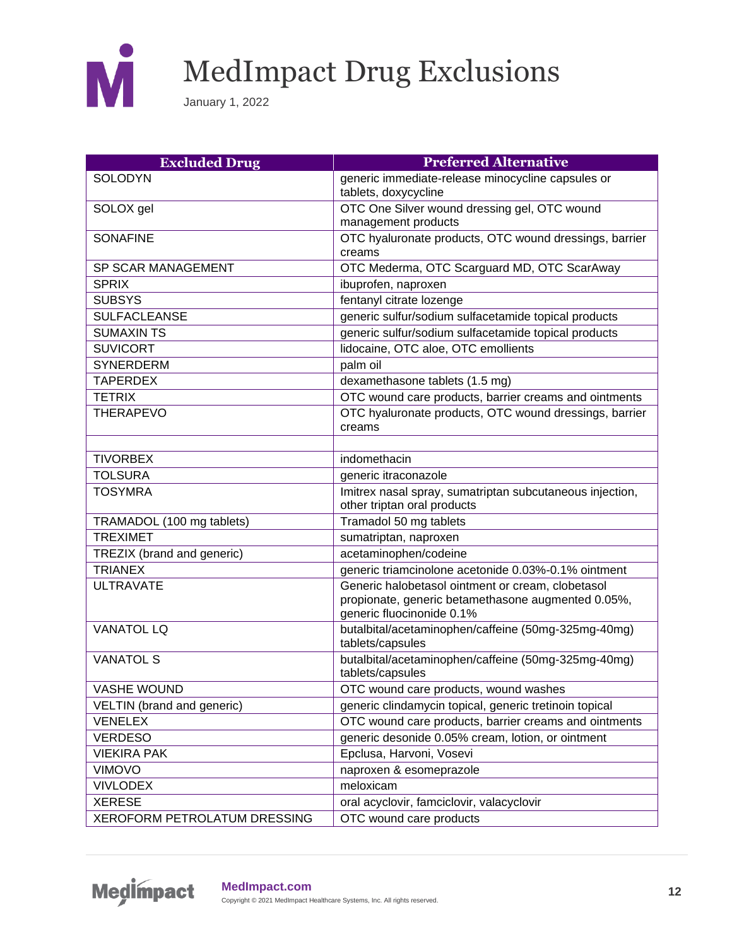

| <b>Excluded Drug</b>         | <b>Preferred Alternative</b>                              |
|------------------------------|-----------------------------------------------------------|
| <b>SOLODYN</b>               | generic immediate-release minocycline capsules or         |
|                              | tablets, doxycycline                                      |
| SOLOX gel                    | OTC One Silver wound dressing gel, OTC wound              |
|                              | management products                                       |
| <b>SONAFINE</b>              | OTC hyaluronate products, OTC wound dressings, barrier    |
|                              | creams                                                    |
| SP SCAR MANAGEMENT           | OTC Mederma, OTC Scarguard MD, OTC ScarAway               |
| <b>SPRIX</b>                 | ibuprofen, naproxen                                       |
| <b>SUBSYS</b>                | fentanyl citrate lozenge                                  |
| <b>SULFACLEANSE</b>          | generic sulfur/sodium sulfacetamide topical products      |
| <b>SUMAXIN TS</b>            | generic sulfur/sodium sulfacetamide topical products      |
| <b>SUVICORT</b>              | lidocaine, OTC aloe, OTC emollients                       |
| <b>SYNERDERM</b>             | palm oil                                                  |
| <b>TAPERDEX</b>              | dexamethasone tablets (1.5 mg)                            |
| <b>TETRIX</b>                | OTC wound care products, barrier creams and ointments     |
| <b>THERAPEVO</b>             | OTC hyaluronate products, OTC wound dressings, barrier    |
|                              | creams                                                    |
|                              |                                                           |
| <b>TIVORBEX</b>              | indomethacin                                              |
| <b>TOLSURA</b>               | generic itraconazole                                      |
| <b>TOSYMRA</b>               | Imitrex nasal spray, sumatriptan subcutaneous injection,  |
|                              | other triptan oral products                               |
| TRAMADOL (100 mg tablets)    | Tramadol 50 mg tablets                                    |
| <b>TREXIMET</b>              | sumatriptan, naproxen                                     |
| TREZIX (brand and generic)   | acetaminophen/codeine                                     |
| <b>TRIANEX</b>               | generic triamcinolone acetonide 0.03%-0.1% ointment       |
| <b>ULTRAVATE</b>             | Generic halobetasol ointment or cream, clobetasol         |
|                              | propionate, generic betamethasone augmented 0.05%,        |
|                              | generic fluocinonide 0.1%                                 |
| <b>VANATOL LQ</b>            | butalbital/acetaminophen/caffeine (50mg-325mg-40mg)       |
|                              | tablets/capsules                                          |
| <b>VANATOL S</b>             | butalbital/acetaminophen/caffeine (50mg-325mg-40mg)       |
| <b>VASHE WOUND</b>           | tablets/capsules<br>OTC wound care products, wound washes |
|                              |                                                           |
| VELTIN (brand and generic)   | generic clindamycin topical, generic tretinoin topical    |
| <b>VENELEX</b>               | OTC wound care products, barrier creams and ointments     |
| <b>VERDESO</b>               | generic desonide 0.05% cream, lotion, or ointment         |
| <b>VIEKIRA PAK</b>           | Epclusa, Harvoni, Vosevi                                  |
| <b>VIMOVO</b>                | naproxen & esomeprazole                                   |
| <b>VIVLODEX</b>              | meloxicam                                                 |
| <b>XERESE</b>                | oral acyclovir, famciclovir, valacyclovir                 |
| XEROFORM PETROLATUM DRESSING | OTC wound care products                                   |

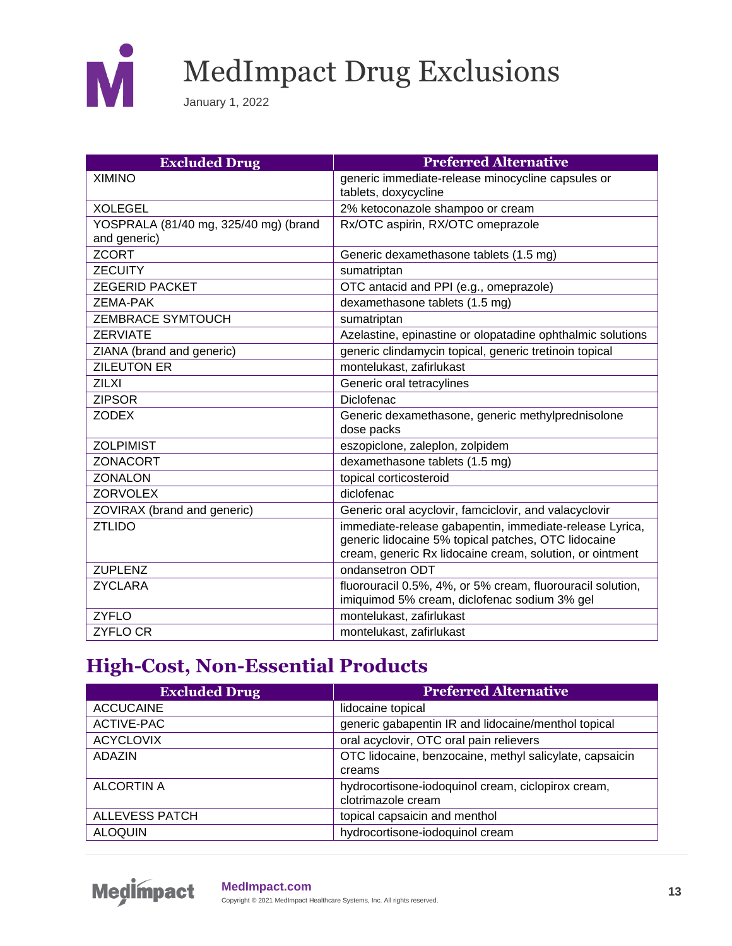

January 1, 2022

| <b>Excluded Drug</b>                  | <b>Preferred Alternative</b>                               |
|---------------------------------------|------------------------------------------------------------|
| <b>XIMINO</b>                         | generic immediate-release minocycline capsules or          |
|                                       | tablets, doxycycline                                       |
| <b>XOLEGEL</b>                        | 2% ketoconazole shampoo or cream                           |
| YOSPRALA (81/40 mg, 325/40 mg) (brand | Rx/OTC aspirin, RX/OTC omeprazole                          |
| and generic)                          |                                                            |
| <b>ZCORT</b>                          | Generic dexamethasone tablets (1.5 mg)                     |
| <b>ZECUITY</b>                        | sumatriptan                                                |
| <b>ZEGERID PACKET</b>                 | OTC antacid and PPI (e.g., omeprazole)                     |
| <b>ZEMA-PAK</b>                       | dexamethasone tablets (1.5 mg)                             |
| <b>ZEMBRACE SYMTOUCH</b>              | sumatriptan                                                |
| <b>ZERVIATE</b>                       | Azelastine, epinastine or olopatadine ophthalmic solutions |
| ZIANA (brand and generic)             | generic clindamycin topical, generic tretinoin topical     |
| <b>ZILEUTON ER</b>                    | montelukast, zafirlukast                                   |
| <b>ZILXI</b>                          | Generic oral tetracylines                                  |
| <b>ZIPSOR</b>                         | Diclofenac                                                 |
| <b>ZODEX</b>                          | Generic dexamethasone, generic methylprednisolone          |
|                                       | dose packs                                                 |
| <b>ZOLPIMIST</b>                      | eszopiclone, zaleplon, zolpidem                            |
| ZONACORT                              | dexamethasone tablets (1.5 mg)                             |
| <b>ZONALON</b>                        | topical corticosteroid                                     |
| <b>ZORVOLEX</b>                       | diclofenac                                                 |
| ZOVIRAX (brand and generic)           | Generic oral acyclovir, famciclovir, and valacyclovir      |
| <b>ZTLIDO</b>                         | immediate-release gabapentin, immediate-release Lyrica,    |
|                                       | generic lidocaine 5% topical patches, OTC lidocaine        |
|                                       | cream, generic Rx lidocaine cream, solution, or ointment   |
| <b>ZUPLENZ</b>                        | ondansetron ODT                                            |
| <b>ZYCLARA</b>                        | fluorouracil 0.5%, 4%, or 5% cream, fluorouracil solution, |
|                                       | imiquimod 5% cream, diclofenac sodium 3% gel               |
| <b>ZYFLO</b>                          | montelukast, zafirlukast                                   |
| <b>ZYFLO CR</b>                       | montelukast, zafirlukast                                   |

#### **High-Cost, Non-Essential Products**

| <b>Excluded Drug</b>  | <b>Preferred Alternative</b>                            |
|-----------------------|---------------------------------------------------------|
| <b>ACCUCAINE</b>      | lidocaine topical                                       |
| ACTIVE-PAC            | generic gabapentin IR and lidocaine/menthol topical     |
| <b>ACYCLOVIX</b>      | oral acyclovir, OTC oral pain relievers                 |
| <b>ADAZIN</b>         | OTC lidocaine, benzocaine, methyl salicylate, capsaicin |
|                       | creams                                                  |
| ALCORTIN A            | hydrocortisone-iodoquinol cream, ciclopirox cream,      |
|                       | clotrimazole cream                                      |
| <b>ALLEVESS PATCH</b> | topical capsaicin and menthol                           |
| <b>ALOQUIN</b>        | hydrocortisone-iodoquinol cream                         |

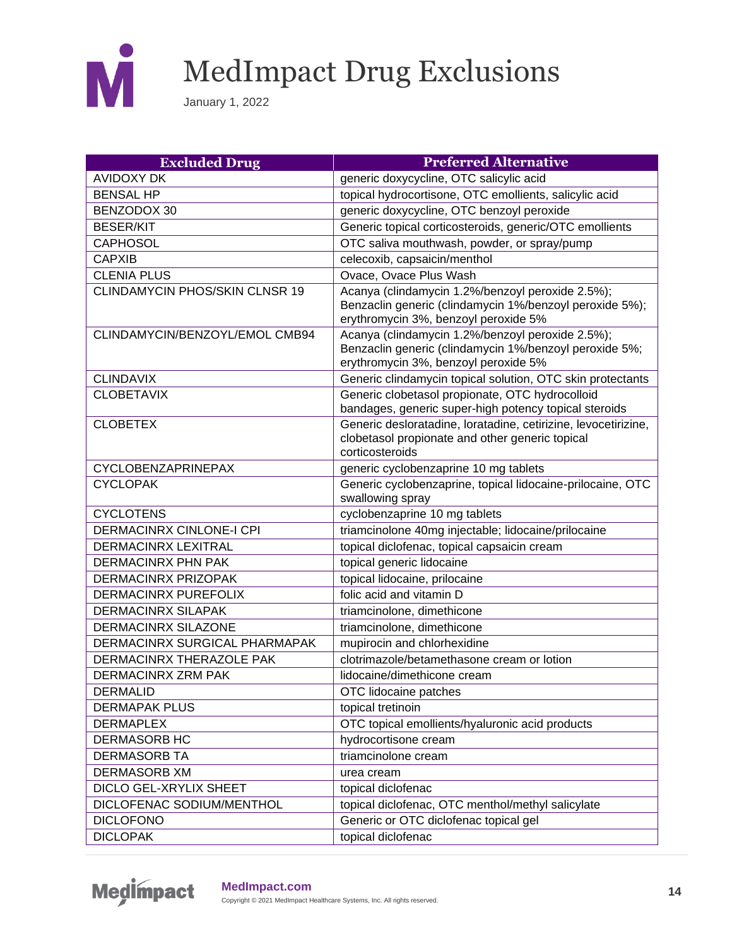

| <b>Excluded Drug</b>                  | <b>Preferred Alternative</b>                                                                                                         |
|---------------------------------------|--------------------------------------------------------------------------------------------------------------------------------------|
| <b>AVIDOXY DK</b>                     | generic doxycycline, OTC salicylic acid                                                                                              |
| <b>BENSAL HP</b>                      | topical hydrocortisone, OTC emollients, salicylic acid                                                                               |
| BENZODOX 30                           | generic doxycycline, OTC benzoyl peroxide                                                                                            |
| <b>BESER/KIT</b>                      | Generic topical corticosteroids, generic/OTC emollients                                                                              |
| <b>CAPHOSOL</b>                       | OTC saliva mouthwash, powder, or spray/pump                                                                                          |
| <b>CAPXIB</b>                         | celecoxib, capsaicin/menthol                                                                                                         |
| <b>CLENIA PLUS</b>                    | Ovace, Ovace Plus Wash                                                                                                               |
| <b>CLINDAMYCIN PHOS/SKIN CLNSR 19</b> | Acanya (clindamycin 1.2%/benzoyl peroxide 2.5%);                                                                                     |
|                                       | Benzaclin generic (clindamycin 1%/benzoyl peroxide 5%);<br>erythromycin 3%, benzoyl peroxide 5%                                      |
| CLINDAMYCIN/BENZOYL/EMOL CMB94        | Acanya (clindamycin 1.2%/benzoyl peroxide 2.5%);                                                                                     |
|                                       | Benzaclin generic (clindamycin 1%/benzoyl peroxide 5%;                                                                               |
|                                       | erythromycin 3%, benzoyl peroxide 5%                                                                                                 |
| <b>CLINDAVIX</b>                      | Generic clindamycin topical solution, OTC skin protectants                                                                           |
| <b>CLOBETAVIX</b>                     | Generic clobetasol propionate, OTC hydrocolloid<br>bandages, generic super-high potency topical steroids                             |
| <b>CLOBETEX</b>                       | Generic desloratadine, loratadine, cetirizine, levocetirizine,<br>clobetasol propionate and other generic topical<br>corticosteroids |
| <b>CYCLOBENZAPRINEPAX</b>             | generic cyclobenzaprine 10 mg tablets                                                                                                |
| <b>CYCLOPAK</b>                       | Generic cyclobenzaprine, topical lidocaine-prilocaine, OTC<br>swallowing spray                                                       |
| <b>CYCLOTENS</b>                      | cyclobenzaprine 10 mg tablets                                                                                                        |
| <b>DERMACINRX CINLONE-I CPI</b>       | triamcinolone 40mg injectable; lidocaine/prilocaine                                                                                  |
| <b>DERMACINRX LEXITRAL</b>            | topical diclofenac, topical capsaicin cream                                                                                          |
| <b>DERMACINRX PHN PAK</b>             | topical generic lidocaine                                                                                                            |
| <b>DERMACINRX PRIZOPAK</b>            | topical lidocaine, prilocaine                                                                                                        |
| DERMACINRX PUREFOLIX                  | folic acid and vitamin D                                                                                                             |
| <b>DERMACINRX SILAPAK</b>             | triamcinolone, dimethicone                                                                                                           |
| <b>DERMACINRX SILAZONE</b>            | triamcinolone, dimethicone                                                                                                           |
| DERMACINRX SURGICAL PHARMAPAK         | mupirocin and chlorhexidine                                                                                                          |
| DERMACINRX THERAZOLE PAK              | clotrimazole/betamethasone cream or lotion                                                                                           |
| <b>DERMACINRX ZRM PAK</b>             | lidocaine/dimethicone cream                                                                                                          |
| <b>DERMALID</b>                       | OTC lidocaine patches                                                                                                                |
| <b>DERMAPAK PLUS</b>                  | topical tretinoin                                                                                                                    |
| <b>DERMAPLEX</b>                      | OTC topical emollients/hyaluronic acid products                                                                                      |
| DERMASORB HC                          | hydrocortisone cream                                                                                                                 |
| <b>DERMASORB TA</b>                   | triamcinolone cream                                                                                                                  |
| <b>DERMASORB XM</b>                   | urea cream                                                                                                                           |
| DICLO GEL-XRYLIX SHEET                | topical diclofenac                                                                                                                   |
| DICLOFENAC SODIUM/MENTHOL             | topical diclofenac, OTC menthol/methyl salicylate                                                                                    |
| <b>DICLOFONO</b>                      | Generic or OTC diclofenac topical gel                                                                                                |
| <b>DICLOPAK</b>                       | topical diclofenac                                                                                                                   |

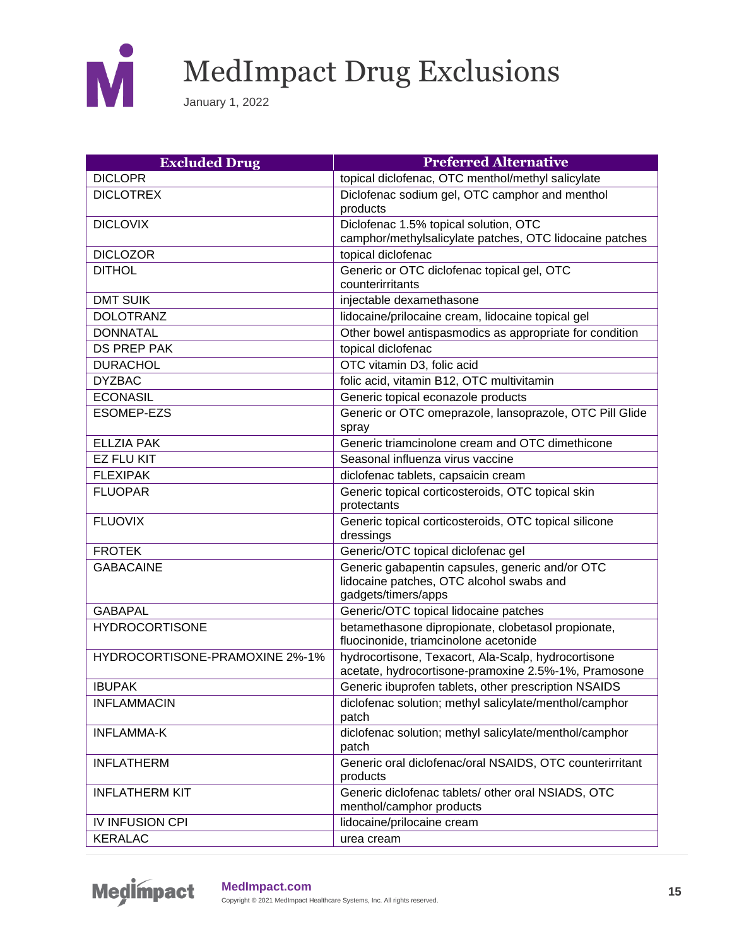

| <b>Excluded Drug</b>           | <b>Preferred Alternative</b>                                                                                       |
|--------------------------------|--------------------------------------------------------------------------------------------------------------------|
| <b>DICLOPR</b>                 | topical diclofenac, OTC menthol/methyl salicylate                                                                  |
| <b>DICLOTREX</b>               | Diclofenac sodium gel, OTC camphor and menthol<br>products                                                         |
| <b>DICLOVIX</b>                | Diclofenac 1.5% topical solution, OTC<br>camphor/methylsalicylate patches, OTC lidocaine patches                   |
| <b>DICLOZOR</b>                | topical diclofenac                                                                                                 |
| <b>DITHOL</b>                  | Generic or OTC diclofenac topical gel, OTC<br>counterirritants                                                     |
| <b>DMT SUIK</b>                | injectable dexamethasone                                                                                           |
| <b>DOLOTRANZ</b>               | lidocaine/prilocaine cream, lidocaine topical gel                                                                  |
| <b>DONNATAL</b>                | Other bowel antispasmodics as appropriate for condition                                                            |
| <b>DS PREP PAK</b>             | topical diclofenac                                                                                                 |
| <b>DURACHOL</b>                | OTC vitamin D3, folic acid                                                                                         |
| <b>DYZBAC</b>                  | folic acid, vitamin B12, OTC multivitamin                                                                          |
| <b>ECONASIL</b>                | Generic topical econazole products                                                                                 |
| <b>ESOMEP-EZS</b>              | Generic or OTC omeprazole, lansoprazole, OTC Pill Glide<br>spray                                                   |
| <b>ELLZIA PAK</b>              | Generic triamcinolone cream and OTC dimethicone                                                                    |
| <b>EZ FLU KIT</b>              | Seasonal influenza virus vaccine                                                                                   |
| <b>FLEXIPAK</b>                | diclofenac tablets, capsaicin cream                                                                                |
| <b>FLUOPAR</b>                 | Generic topical corticosteroids, OTC topical skin<br>protectants                                                   |
| <b>FLUOVIX</b>                 | Generic topical corticosteroids, OTC topical silicone<br>dressings                                                 |
| <b>FROTEK</b>                  | Generic/OTC topical diclofenac gel                                                                                 |
| <b>GABACAINE</b>               | Generic gabapentin capsules, generic and/or OTC<br>lidocaine patches, OTC alcohol swabs and<br>gadgets/timers/apps |
| <b>GABAPAL</b>                 | Generic/OTC topical lidocaine patches                                                                              |
| <b>HYDROCORTISONE</b>          | betamethasone dipropionate, clobetasol propionate,<br>fluocinonide, triamcinolone acetonide                        |
| HYDROCORTISONE-PRAMOXINE 2%-1% | hydrocortisone, Texacort, Ala-Scalp, hydrocortisone<br>acetate, hydrocortisone-pramoxine 2.5%-1%, Pramosone        |
| <b>IBUPAK</b>                  | Generic ibuprofen tablets, other prescription NSAIDS                                                               |
| <b>INFLAMMACIN</b>             | diclofenac solution; methyl salicylate/menthol/camphor<br>patch                                                    |
| <b>INFLAMMA-K</b>              | diclofenac solution; methyl salicylate/menthol/camphor<br>patch                                                    |
| <b>INFLATHERM</b>              | Generic oral diclofenac/oral NSAIDS, OTC counterirritant<br>products                                               |
| <b>INFLATHERM KIT</b>          | Generic diclofenac tablets/ other oral NSIADS, OTC<br>menthol/camphor products                                     |
| IV INFUSION CPI                | lidocaine/prilocaine cream                                                                                         |
| <b>KERALAC</b>                 | urea cream                                                                                                         |

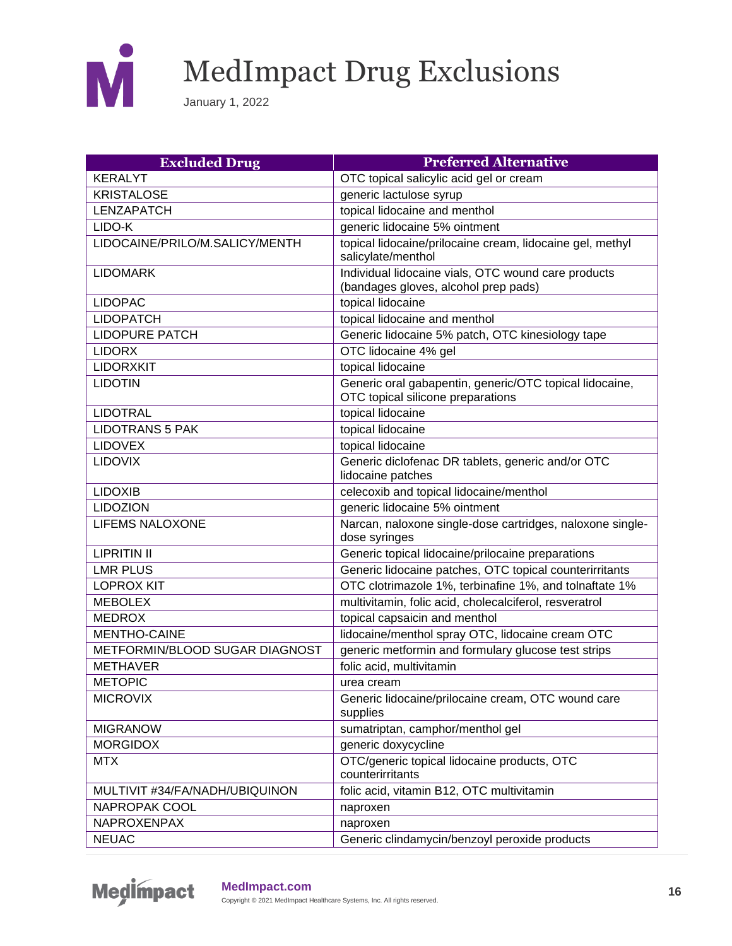

| <b>Excluded Drug</b>           | <b>Preferred Alternative</b>                                                                 |
|--------------------------------|----------------------------------------------------------------------------------------------|
| <b>KERALYT</b>                 | OTC topical salicylic acid gel or cream                                                      |
| <b>KRISTALOSE</b>              | generic lactulose syrup                                                                      |
| <b>LENZAPATCH</b>              | topical lidocaine and menthol                                                                |
| LIDO-K                         | generic lidocaine 5% ointment                                                                |
| LIDOCAINE/PRILO/M.SALICY/MENTH | topical lidocaine/prilocaine cream, lidocaine gel, methyl<br>salicylate/menthol              |
| <b>LIDOMARK</b>                | Individual lidocaine vials, OTC wound care products<br>(bandages gloves, alcohol prep pads)  |
| <b>LIDOPAC</b>                 | topical lidocaine                                                                            |
| <b>LIDOPATCH</b>               | topical lidocaine and menthol                                                                |
| <b>LIDOPURE PATCH</b>          | Generic lidocaine 5% patch, OTC kinesiology tape                                             |
| <b>LIDORX</b>                  | OTC lidocaine 4% gel                                                                         |
| <b>LIDORXKIT</b>               | topical lidocaine                                                                            |
| <b>LIDOTIN</b>                 | Generic oral gabapentin, generic/OTC topical lidocaine,<br>OTC topical silicone preparations |
| <b>LIDOTRAL</b>                | topical lidocaine                                                                            |
| <b>LIDOTRANS 5 PAK</b>         | topical lidocaine                                                                            |
| <b>LIDOVEX</b>                 | topical lidocaine                                                                            |
| <b>LIDOVIX</b>                 | Generic diclofenac DR tablets, generic and/or OTC<br>lidocaine patches                       |
| <b>LIDOXIB</b>                 | celecoxib and topical lidocaine/menthol                                                      |
| <b>LIDOZION</b>                | generic lidocaine 5% ointment                                                                |
| <b>LIFEMS NALOXONE</b>         | Narcan, naloxone single-dose cartridges, naloxone single-<br>dose syringes                   |
| <b>LIPRITIN II</b>             | Generic topical lidocaine/prilocaine preparations                                            |
| <b>LMR PLUS</b>                | Generic lidocaine patches, OTC topical counterirritants                                      |
| <b>LOPROX KIT</b>              | OTC clotrimazole 1%, terbinafine 1%, and tolnaftate 1%                                       |
| <b>MEBOLEX</b>                 | multivitamin, folic acid, cholecalciferol, resveratrol                                       |
| <b>MEDROX</b>                  | topical capsaicin and menthol                                                                |
| <b>MENTHO-CAINE</b>            | lidocaine/menthol spray OTC, lidocaine cream OTC                                             |
| METFORMIN/BLOOD SUGAR DIAGNOST | generic metformin and formulary glucose test strips                                          |
| <b>METHAVER</b>                | folic acid, multivitamin                                                                     |
| <b>METOPIC</b>                 | urea cream                                                                                   |
| <b>MICROVIX</b>                | Generic lidocaine/prilocaine cream, OTC wound care<br>supplies                               |
| <b>MIGRANOW</b>                | sumatriptan, camphor/menthol gel                                                             |
| <b>MORGIDOX</b>                | generic doxycycline                                                                          |
| <b>MTX</b>                     | OTC/generic topical lidocaine products, OTC<br>counterirritants                              |
| MULTIVIT #34/FA/NADH/UBIQUINON | folic acid, vitamin B12, OTC multivitamin                                                    |
| NAPROPAK COOL                  | naproxen                                                                                     |
| NAPROXENPAX                    | naproxen                                                                                     |
| <b>NEUAC</b>                   | Generic clindamycin/benzoyl peroxide products                                                |

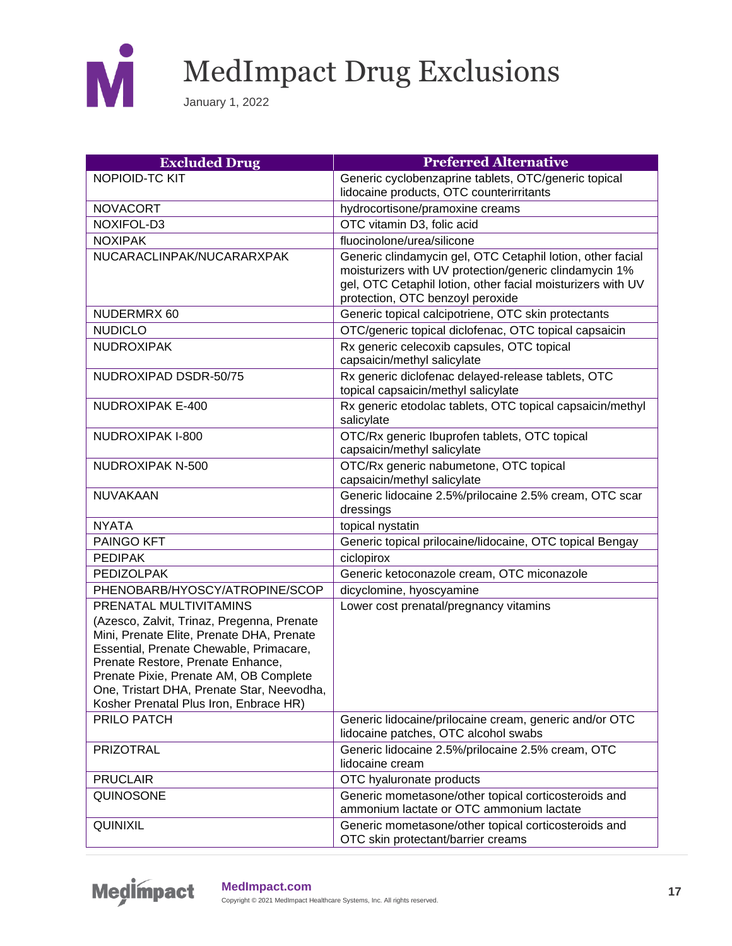

| <b>Excluded Drug</b>                                                                                                                                                                                                                                                                                      | <b>Preferred Alternative</b>                                                                                                                                                                                            |
|-----------------------------------------------------------------------------------------------------------------------------------------------------------------------------------------------------------------------------------------------------------------------------------------------------------|-------------------------------------------------------------------------------------------------------------------------------------------------------------------------------------------------------------------------|
| NOPIOID-TC KIT                                                                                                                                                                                                                                                                                            | Generic cyclobenzaprine tablets, OTC/generic topical                                                                                                                                                                    |
|                                                                                                                                                                                                                                                                                                           | lidocaine products, OTC counterirritants                                                                                                                                                                                |
| <b>NOVACORT</b>                                                                                                                                                                                                                                                                                           | hydrocortisone/pramoxine creams                                                                                                                                                                                         |
| NOXIFOL-D3                                                                                                                                                                                                                                                                                                | OTC vitamin D3, folic acid                                                                                                                                                                                              |
| <b>NOXIPAK</b>                                                                                                                                                                                                                                                                                            | fluocinolone/urea/silicone                                                                                                                                                                                              |
| NUCARACLINPAK/NUCARARXPAK                                                                                                                                                                                                                                                                                 | Generic clindamycin gel, OTC Cetaphil lotion, other facial<br>moisturizers with UV protection/generic clindamycin 1%<br>gel, OTC Cetaphil lotion, other facial moisturizers with UV<br>protection, OTC benzoyl peroxide |
| NUDERMRX 60                                                                                                                                                                                                                                                                                               | Generic topical calcipotriene, OTC skin protectants                                                                                                                                                                     |
| <b>NUDICLO</b>                                                                                                                                                                                                                                                                                            | OTC/generic topical diclofenac, OTC topical capsaicin                                                                                                                                                                   |
| <b>NUDROXIPAK</b>                                                                                                                                                                                                                                                                                         | Rx generic celecoxib capsules, OTC topical<br>capsaicin/methyl salicylate                                                                                                                                               |
| NUDROXIPAD DSDR-50/75                                                                                                                                                                                                                                                                                     | Rx generic diclofenac delayed-release tablets, OTC<br>topical capsaicin/methyl salicylate                                                                                                                               |
| <b>NUDROXIPAK E-400</b>                                                                                                                                                                                                                                                                                   | Rx generic etodolac tablets, OTC topical capsaicin/methyl<br>salicylate                                                                                                                                                 |
| NUDROXIPAK I-800                                                                                                                                                                                                                                                                                          | OTC/Rx generic Ibuprofen tablets, OTC topical<br>capsaicin/methyl salicylate                                                                                                                                            |
| NUDROXIPAK N-500                                                                                                                                                                                                                                                                                          | OTC/Rx generic nabumetone, OTC topical<br>capsaicin/methyl salicylate                                                                                                                                                   |
| NUVAKAAN                                                                                                                                                                                                                                                                                                  | Generic lidocaine 2.5%/prilocaine 2.5% cream, OTC scar<br>dressings                                                                                                                                                     |
| <b>NYATA</b>                                                                                                                                                                                                                                                                                              | topical nystatin                                                                                                                                                                                                        |
| PAINGO KFT                                                                                                                                                                                                                                                                                                | Generic topical prilocaine/lidocaine, OTC topical Bengay                                                                                                                                                                |
| <b>PEDIPAK</b>                                                                                                                                                                                                                                                                                            | ciclopirox                                                                                                                                                                                                              |
| <b>PEDIZOLPAK</b>                                                                                                                                                                                                                                                                                         | Generic ketoconazole cream, OTC miconazole                                                                                                                                                                              |
| PHENOBARB/HYOSCY/ATROPINE/SCOP                                                                                                                                                                                                                                                                            | dicyclomine, hyoscyamine                                                                                                                                                                                                |
| PRENATAL MULTIVITAMINS                                                                                                                                                                                                                                                                                    | Lower cost prenatal/pregnancy vitamins                                                                                                                                                                                  |
| (Azesco, Zalvit, Trinaz, Pregenna, Prenate<br>Mini, Prenate Elite, Prenate DHA, Prenate<br>Essential, Prenate Chewable, Primacare,<br>Prenate Restore, Prenate Enhance,<br>Prenate Pixie, Prenate AM, OB Complete<br>One, Tristart DHA, Prenate Star, Neevodha,<br>Kosher Prenatal Plus Iron, Enbrace HR) |                                                                                                                                                                                                                         |
| PRILO PATCH                                                                                                                                                                                                                                                                                               | Generic lidocaine/prilocaine cream, generic and/or OTC<br>lidocaine patches, OTC alcohol swabs                                                                                                                          |
| <b>PRIZOTRAL</b>                                                                                                                                                                                                                                                                                          | Generic lidocaine 2.5%/prilocaine 2.5% cream, OTC<br>lidocaine cream                                                                                                                                                    |
| <b>PRUCLAIR</b>                                                                                                                                                                                                                                                                                           | OTC hyaluronate products                                                                                                                                                                                                |
| QUINOSONE                                                                                                                                                                                                                                                                                                 | Generic mometasone/other topical corticosteroids and<br>ammonium lactate or OTC ammonium lactate                                                                                                                        |
| QUINIXIL                                                                                                                                                                                                                                                                                                  | Generic mometasone/other topical corticosteroids and<br>OTC skin protectant/barrier creams                                                                                                                              |

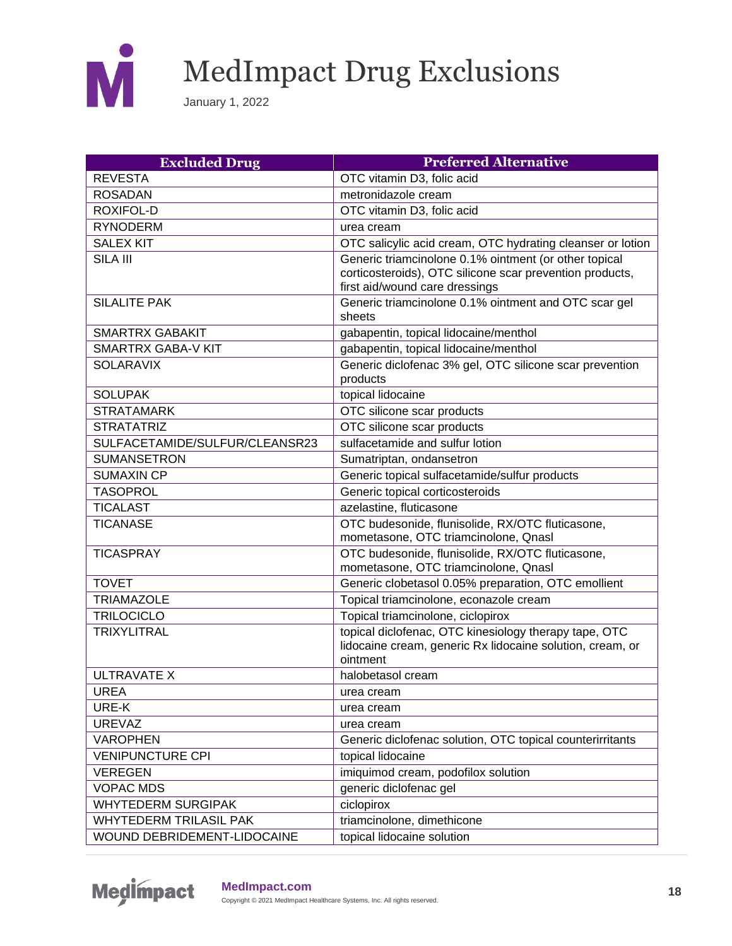

| <b>Excluded Drug</b>           | <b>Preferred Alternative</b>                                                                                                   |
|--------------------------------|--------------------------------------------------------------------------------------------------------------------------------|
| <b>REVESTA</b>                 | OTC vitamin D3, folic acid                                                                                                     |
| <b>ROSADAN</b>                 | metronidazole cream                                                                                                            |
| ROXIFOL-D                      | OTC vitamin D3, folic acid                                                                                                     |
| <b>RYNODERM</b>                | urea cream                                                                                                                     |
| <b>SALEX KIT</b>               | OTC salicylic acid cream, OTC hydrating cleanser or lotion                                                                     |
| SILA III                       | Generic triamcinolone 0.1% ointment (or other topical                                                                          |
|                                | corticosteroids), OTC silicone scar prevention products,                                                                       |
|                                | first aid/wound care dressings                                                                                                 |
| <b>SILALITE PAK</b>            | Generic triamcinolone 0.1% ointment and OTC scar gel<br>sheets                                                                 |
| <b>SMARTRX GABAKIT</b>         | gabapentin, topical lidocaine/menthol                                                                                          |
| <b>SMARTRX GABA-V KIT</b>      | gabapentin, topical lidocaine/menthol                                                                                          |
| <b>SOLARAVIX</b>               | Generic diclofenac 3% gel, OTC silicone scar prevention                                                                        |
|                                | products                                                                                                                       |
| <b>SOLUPAK</b>                 | topical lidocaine                                                                                                              |
| <b>STRATAMARK</b>              | OTC silicone scar products                                                                                                     |
| <b>STRATATRIZ</b>              | OTC silicone scar products                                                                                                     |
| SULFACETAMIDE/SULFUR/CLEANSR23 | sulfacetamide and sulfur lotion                                                                                                |
| <b>SUMANSETRON</b>             | Sumatriptan, ondansetron                                                                                                       |
| <b>SUMAXIN CP</b>              | Generic topical sulfacetamide/sulfur products                                                                                  |
| <b>TASOPROL</b>                | Generic topical corticosteroids                                                                                                |
| <b>TICALAST</b>                | azelastine, fluticasone                                                                                                        |
| <b>TICANASE</b>                | OTC budesonide, flunisolide, RX/OTC fluticasone,                                                                               |
|                                | mometasone, OTC triamcinolone, Qnasl                                                                                           |
| <b>TICASPRAY</b>               | OTC budesonide, flunisolide, RX/OTC fluticasone,                                                                               |
|                                | mometasone, OTC triamcinolone, Qnasl                                                                                           |
| <b>TOVET</b>                   | Generic clobetasol 0.05% preparation, OTC emollient                                                                            |
| <b>TRIAMAZOLE</b>              | Topical triamcinolone, econazole cream                                                                                         |
| <b>TRILOCICLO</b>              | Topical triamcinolone, ciclopirox                                                                                              |
| <b>TRIXYLITRAL</b>             | topical diclofenac, OTC kinesiology therapy tape, OTC<br>lidocaine cream, generic Rx lidocaine solution, cream, or<br>ointment |
| <b>ULTRAVATE X</b>             | halobetasol cream                                                                                                              |
| <b>UREA</b>                    | urea cream                                                                                                                     |
| URE-K                          | urea cream                                                                                                                     |
| <b>UREVAZ</b>                  | urea cream                                                                                                                     |
| <b>VAROPHEN</b>                | Generic diclofenac solution, OTC topical counterirritants                                                                      |
| <b>VENIPUNCTURE CPI</b>        | topical lidocaine                                                                                                              |
| <b>VEREGEN</b>                 | imiquimod cream, podofilox solution                                                                                            |
| <b>VOPAC MDS</b>               | generic diclofenac gel                                                                                                         |
| <b>WHYTEDERM SURGIPAK</b>      | ciclopirox                                                                                                                     |
| <b>WHYTEDERM TRILASIL PAK</b>  | triamcinolone, dimethicone                                                                                                     |
| WOUND DEBRIDEMENT-LIDOCAINE    | topical lidocaine solution                                                                                                     |